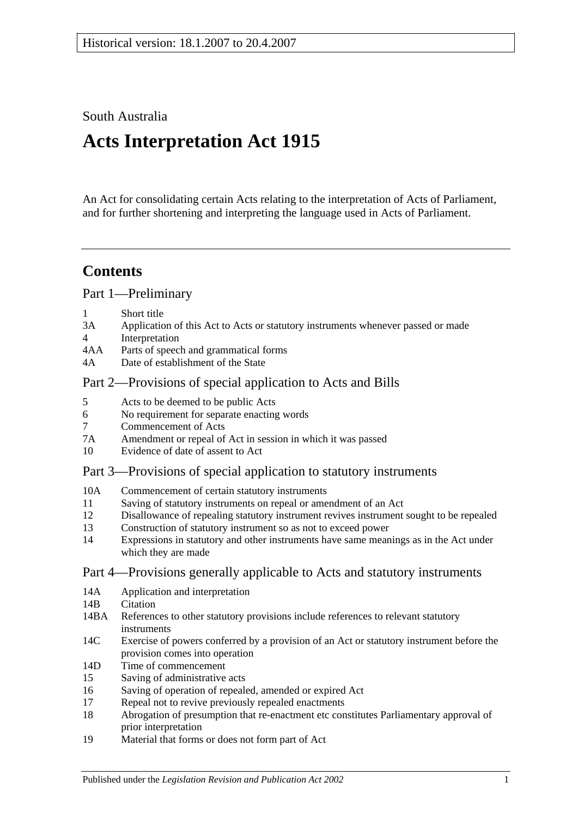South Australia

# **Acts Interpretation Act 1915**

An Act for consolidating certain Acts relating to the interpretation of Acts of Parliament, and for further shortening and interpreting the language used in Acts of Parliament.

## **Contents**

[Part 1—Preliminary](#page-1-0)

- 1 [Short title](#page-1-1)
- 3A [Application of this Act to Acts or statutory instruments whenever passed or made](#page-1-2)
- 4 [Interpretation](#page-2-0)
- 4AA [Parts of speech and grammatical forms](#page-6-0)
- 4A [Date of establishment of the State](#page-6-1)

## [Part 2—Provisions of special application to Acts and Bills](#page-6-2)

- 5 [Acts to be deemed to be public Acts](#page-6-3)
- 6 [No requirement for separate enacting words](#page-6-4)
- 7 [Commencement of Acts](#page-6-5)
- 7A [Amendment or repeal of Act in session in which it was passed](#page-7-0)
- 10 [Evidence of date of assent to Act](#page-7-1)

## [Part 3—Provisions of special application to statutory instruments](#page-7-2)

- 10A [Commencement of certain statutory instruments](#page-7-3)
- 11 [Saving of statutory instruments on repeal or amendment of an Act](#page-7-4)
- 12 [Disallowance of repealing statutory instrument revives instrument sought to](#page-8-0) be repealed
- 13 [Construction of statutory instrument so as not to exceed power](#page-8-1)
- 14 [Expressions in statutory and other instruments have same meanings as in the Act under](#page-8-2)  [which they are made](#page-8-2)

## [Part 4—Provisions generally applicable to Acts and statutory instruments](#page-8-3)

- 14A [Application and interpretation](#page-8-4)
- 14R [Citation](#page-8-5)
- 14BA [References to other statutory provisions include references to relevant statutory](#page-9-0)  [instruments](#page-9-0)
- 14C [Exercise of powers conferred by a provision of an Act or statutory instrument before the](#page-9-1)  [provision comes into operation](#page-9-1)
- 14D [Time of commencement](#page-10-0)
- 15 [Saving of administrative acts](#page-10-1)
- 16 [Saving of operation of repealed, amended or expired Act](#page-10-2)
- 17 [Repeal not to revive previously repealed enactments](#page-11-0)
- 18 [Abrogation of presumption that re-enactment etc constitutes Parliamentary approval of](#page-11-1)  [prior interpretation](#page-11-1)
- 19 [Material that forms or does not form part of Act](#page-11-2)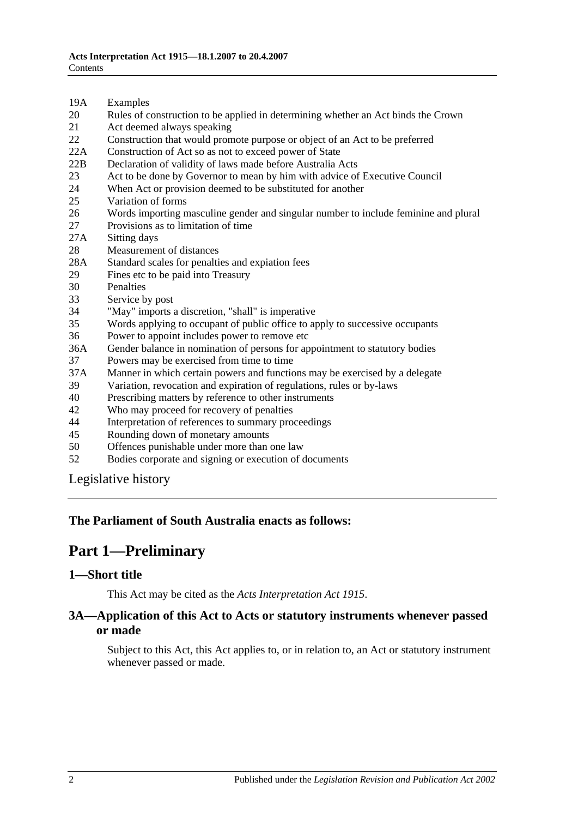- 19A [Examples](#page-12-0)
- 20 [Rules of construction to be applied in determining whether an Act binds the Crown](#page-12-1)
- 21 [Act deemed always speaking](#page-12-2)
- 22 [Construction that would promote purpose or object of an Act to be preferred](#page-13-0)
- 22A [Construction of Act so as not to exceed power of State](#page-13-1)
- 22B [Declaration of validity of laws made before Australia Acts](#page-13-2)
- 23 [Act to be done by Governor to mean by him with advice of Executive Council](#page-13-3)
- 24 [When Act or provision deemed to be substituted for another](#page-13-4)<br>25 Variation of forms
- [Variation of forms](#page-13-5)
- 26 [Words importing masculine gender and singular number to include feminine and plural](#page-14-0)
- 27 [Provisions as to limitation of time](#page-14-1)
- 27A [Sitting days](#page-14-2)
- 28 [Measurement of distances](#page-14-3)
- 28A [Standard scales for penalties and expiation fees](#page-15-0)
- 29 [Fines etc to be paid into Treasury](#page-15-1)
- 
- 30 [Penalties](#page-16-0)<br>33 Service b [Service by post](#page-16-1)
- 34 ["May" imports a discretion, "shall" is imperative](#page-16-2)
- 35 [Words applying to occupant of public office to apply to successive occupants](#page-16-3)
- 36 [Power to appoint includes power to remove etc](#page-16-4)
- 36A [Gender balance in nomination of persons for appointment to statutory bodies](#page-17-0)
- 37 [Powers may be exercised from time to time](#page-17-1)
- 37A [Manner in which certain powers and functions may be exercised by a delegate](#page-18-0)
- 39 [Variation, revocation and expiration of regulations, rules or by-laws](#page-18-1)
- 40 [Prescribing matters by reference to other instruments](#page-18-2)
- 42 [Who may proceed for recovery of penalties](#page-18-3)
- 44 [Interpretation of references to summary proceedings](#page-18-4)
- 45 [Rounding down of monetary amounts](#page-19-0)
- 50 [Offences punishable under more than one law](#page-19-1)
- 52 [Bodies corporate and signing or execution of documents](#page-19-2)

[Legislative history](#page-20-0)

#### <span id="page-1-0"></span>**The Parliament of South Australia enacts as follows:**

## **Part 1—Preliminary**

#### <span id="page-1-1"></span>**1—Short title**

This Act may be cited as the *Acts Interpretation Act 1915*.

#### <span id="page-1-2"></span>**3A—Application of this Act to Acts or statutory instruments whenever passed or made**

Subject to this Act, this Act applies to, or in relation to, an Act or statutory instrument whenever passed or made.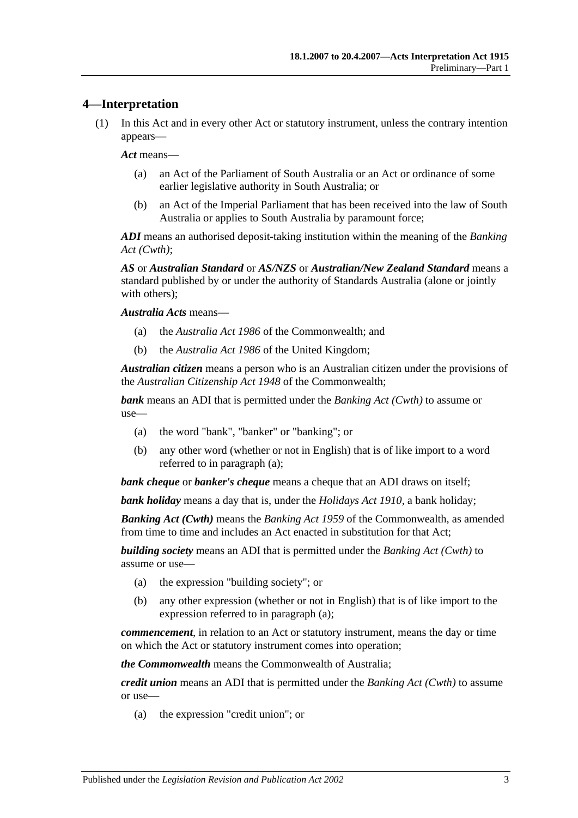#### <span id="page-2-0"></span>**4—Interpretation**

(1) In this Act and in every other Act or statutory instrument, unless the contrary intention appears—

*Act* means—

- (a) an Act of the Parliament of South Australia or an Act or ordinance of some earlier legislative authority in South Australia; or
- (b) an Act of the Imperial Parliament that has been received into the law of South Australia or applies to South Australia by paramount force;

*ADI* means an authorised deposit-taking institution within the meaning of the *Banking Act (Cwth)*;

*AS* or *Australian Standard* or *AS/NZS* or *Australian/New Zealand Standard* means a standard published by or under the authority of Standards Australia (alone or jointly with others):

*Australia Acts* means—

- (a) the *Australia Act 1986* of the Commonwealth; and
- (b) the *Australia Act 1986* of the United Kingdom;

*Australian citizen* means a person who is an Australian citizen under the provisions of the *Australian Citizenship Act 1948* of the Commonwealth;

<span id="page-2-1"></span>*bank* means an ADI that is permitted under the *Banking Act (Cwth)* to assume or use—

- (a) the word "bank", "banker" or "banking"; or
- (b) any other word (whether or not in English) that is of like import to a word referred to in [paragraph](#page-2-1) (a);

*bank cheque* or *banker's cheque* means a cheque that an ADI draws on itself;

*bank holiday* means a day that is, under the *[Holidays Act](http://www.legislation.sa.gov.au/index.aspx?action=legref&type=act&legtitle=Holidays%20Act%201910) 1910*, a bank holiday;

*Banking Act (Cwth)* means the *Banking Act 1959* of the Commonwealth, as amended from time to time and includes an Act enacted in substitution for that Act;

<span id="page-2-2"></span>*building society* means an ADI that is permitted under the *Banking Act (Cwth)* to assume or use—

- (a) the expression "building society"; or
- (b) any other expression (whether or not in English) that is of like import to the expression referred to in [paragraph](#page-2-2) (a);

*commencement*, in relation to an Act or statutory instrument, means the day or time on which the Act or statutory instrument comes into operation;

*the Commonwealth* means the Commonwealth of Australia;

<span id="page-2-3"></span>*credit union* means an ADI that is permitted under the *Banking Act (Cwth)* to assume or use—

(a) the expression "credit union"; or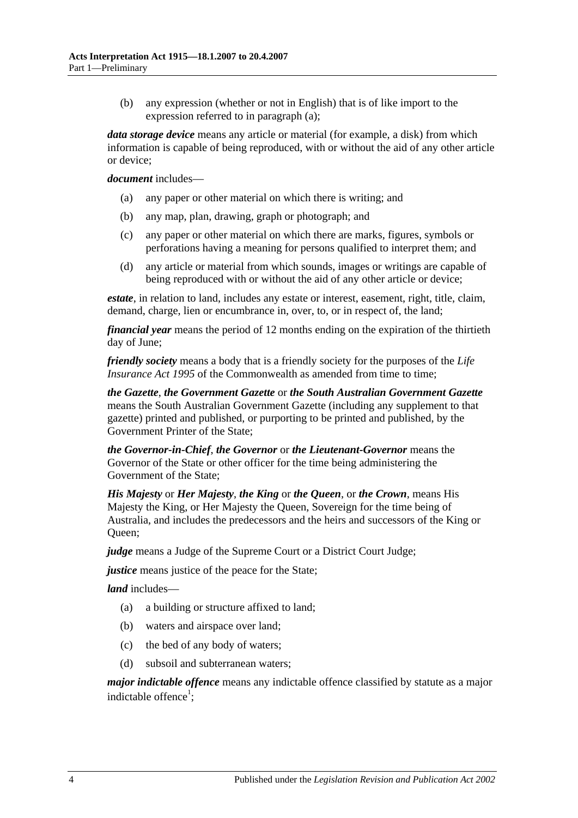(b) any expression (whether or not in English) that is of like import to the expression referred to in [paragraph](#page-2-3) (a);

*data storage device* means any article or material (for example, a disk) from which information is capable of being reproduced, with or without the aid of any other article or device;

#### *document* includes—

- (a) any paper or other material on which there is writing; and
- (b) any map, plan, drawing, graph or photograph; and
- (c) any paper or other material on which there are marks, figures, symbols or perforations having a meaning for persons qualified to interpret them; and
- (d) any article or material from which sounds, images or writings are capable of being reproduced with or without the aid of any other article or device;

*estate*, in relation to land, includes any estate or interest, easement, right, title, claim, demand, charge, lien or encumbrance in, over, to, or in respect of, the land;

*financial year* means the period of 12 months ending on the expiration of the thirtieth day of June;

*friendly society* means a body that is a friendly society for the purposes of the *Life Insurance Act 1995* of the Commonwealth as amended from time to time:

*the Gazette*, *the Government Gazette* or *the South Australian Government Gazette* means the South Australian Government Gazette (including any supplement to that gazette) printed and published, or purporting to be printed and published, by the Government Printer of the State;

*the Governor-in-Chief*, *the Governor* or *the Lieutenant-Governor* means the Governor of the State or other officer for the time being administering the Government of the State;

*His Majesty* or *Her Majesty*, *the King* or *the Queen*, or *the Crown*, means His Majesty the King, or Her Majesty the Queen, Sovereign for the time being of Australia, and includes the predecessors and the heirs and successors of the King or Oueen:

*judge* means a Judge of the Supreme Court or a District Court Judge;

*justice* means justice of the peace for the State;

*land* includes—

- (a) a building or structure affixed to land;
- (b) waters and airspace over land;
- (c) the bed of any body of waters;
- (d) subsoil and subterranean waters;

*major indictable offence* means any indictable offence classified by statute as a major indictable offence<sup>1</sup>;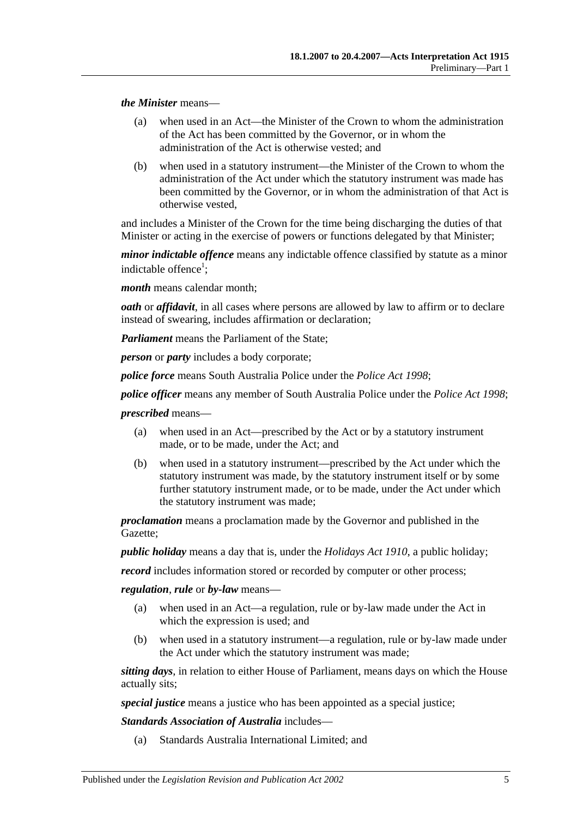*the Minister* means—

- (a) when used in an Act—the Minister of the Crown to whom the administration of the Act has been committed by the Governor, or in whom the administration of the Act is otherwise vested; and
- (b) when used in a statutory instrument—the Minister of the Crown to whom the administration of the Act under which the statutory instrument was made has been committed by the Governor, or in whom the administration of that Act is otherwise vested,

and includes a Minister of the Crown for the time being discharging the duties of that Minister or acting in the exercise of powers or functions delegated by that Minister;

*minor indictable offence* means any indictable offence classified by statute as a minor indictable offence<sup>1</sup>;

*month* means calendar month;

*oath* or *affidavit*, in all cases where persons are allowed by law to affirm or to declare instead of swearing, includes affirmation or declaration;

*Parliament* means the Parliament of the State;

*person* or *party* includes a body corporate;

*police force* means South Australia Police under the *[Police Act](http://www.legislation.sa.gov.au/index.aspx?action=legref&type=act&legtitle=Police%20Act%201998) 1998*;

*police officer* means any member of South Australia Police under the *[Police Act](http://www.legislation.sa.gov.au/index.aspx?action=legref&type=act&legtitle=Police%20Act%201998) 1998*;

*prescribed* means—

- (a) when used in an Act—prescribed by the Act or by a statutory instrument made, or to be made, under the Act; and
- (b) when used in a statutory instrument—prescribed by the Act under which the statutory instrument was made, by the statutory instrument itself or by some further statutory instrument made, or to be made, under the Act under which the statutory instrument was made;

*proclamation* means a proclamation made by the Governor and published in the Gazette;

*public holiday* means a day that is, under the *[Holidays Act](http://www.legislation.sa.gov.au/index.aspx?action=legref&type=act&legtitle=Holidays%20Act%201910) 1910*, a public holiday;

*record* includes information stored or recorded by computer or other process;

*regulation*, *rule* or *by-law* means—

- (a) when used in an Act—a regulation, rule or by-law made under the Act in which the expression is used; and
- (b) when used in a statutory instrument—a regulation, rule or by-law made under the Act under which the statutory instrument was made;

*sitting days*, in relation to either House of Parliament, means days on which the House actually sits;

*special justice* means a justice who has been appointed as a special justice;

*Standards Association of Australia* includes—

(a) Standards Australia International Limited; and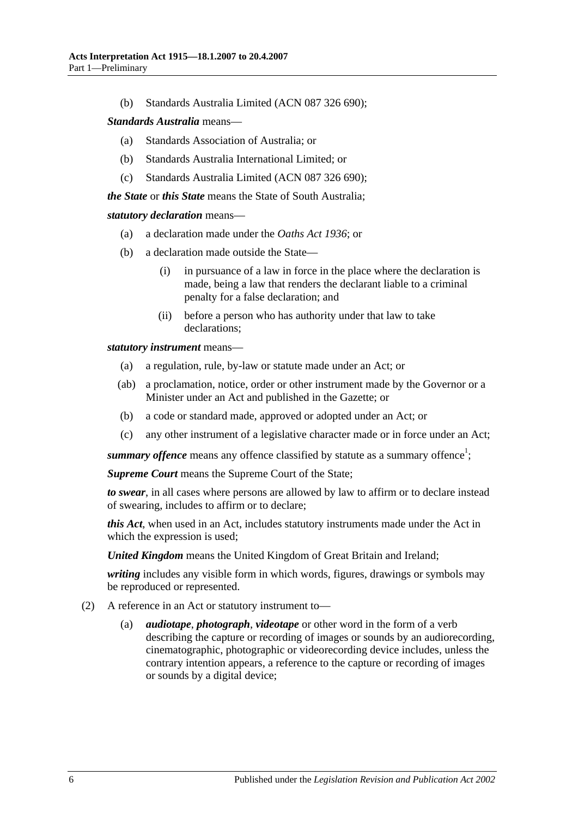(b) Standards Australia Limited (ACN 087 326 690);

#### *Standards Australia* means—

- (a) Standards Association of Australia; or
- (b) Standards Australia International Limited; or
- (c) Standards Australia Limited (ACN 087 326 690);

*the State* or *this State* means the State of South Australia;

#### *statutory declaration* means—

- (a) a declaration made under the *[Oaths Act](http://www.legislation.sa.gov.au/index.aspx?action=legref&type=act&legtitle=Oaths%20Act%201936) 1936*; or
- (b) a declaration made outside the State—
	- (i) in pursuance of a law in force in the place where the declaration is made, being a law that renders the declarant liable to a criminal penalty for a false declaration; and
	- (ii) before a person who has authority under that law to take declarations;

*statutory instrument* means—

- (a) a regulation, rule, by-law or statute made under an Act; or
- (ab) a proclamation, notice, order or other instrument made by the Governor or a Minister under an Act and published in the Gazette; or
- (b) a code or standard made, approved or adopted under an Act; or
- (c) any other instrument of a legislative character made or in force under an Act;

summary offence means any offence classified by statute as a summary offence<sup>1</sup>;

*Supreme Court* means the Supreme Court of the State;

*to swear*, in all cases where persons are allowed by law to affirm or to declare instead of swearing, includes to affirm or to declare;

*this Act*, when used in an Act, includes statutory instruments made under the Act in which the expression is used;

*United Kingdom* means the United Kingdom of Great Britain and Ireland;

*writing* includes any visible form in which words, figures, drawings or symbols may be reproduced or represented.

- (2) A reference in an Act or statutory instrument to
	- *audiotape, photograph, videotape* or other word in the form of a verb describing the capture or recording of images or sounds by an audiorecording, cinematographic, photographic or videorecording device includes, unless the contrary intention appears, a reference to the capture or recording of images or sounds by a digital device;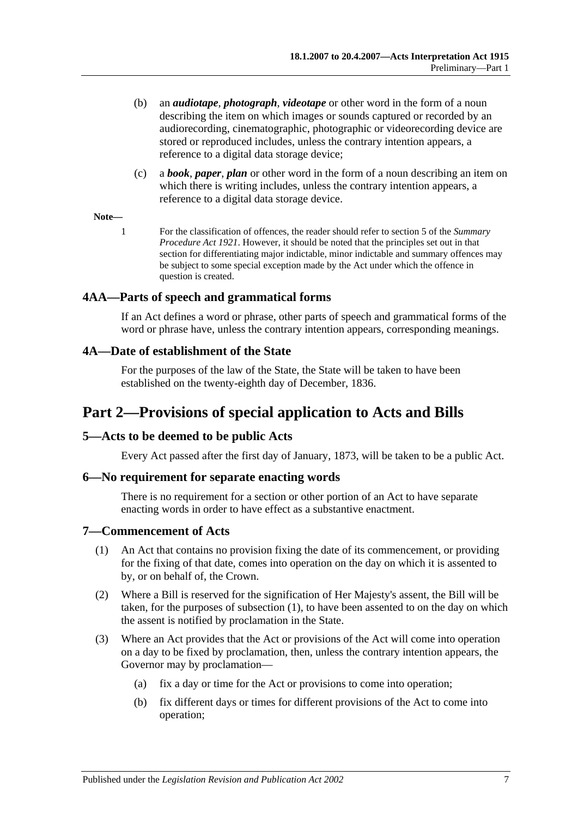- (b) an *audiotape*, *photograph*, *videotape* or other word in the form of a noun describing the item on which images or sounds captured or recorded by an audiorecording, cinematographic, photographic or videorecording device are stored or reproduced includes, unless the contrary intention appears, a reference to a digital data storage device;
- (c) a *book*, *paper*, *plan* or other word in the form of a noun describing an item on which there is writing includes, unless the contrary intention appears, a reference to a digital data storage device.

#### **Note—**

1 For the classification of offences, the reader should refer to section 5 of the *[Summary](http://www.legislation.sa.gov.au/index.aspx?action=legref&type=act&legtitle=Summary%20Procedure%20Act%201921)  [Procedure Act](http://www.legislation.sa.gov.au/index.aspx?action=legref&type=act&legtitle=Summary%20Procedure%20Act%201921) 1921*. However, it should be noted that the principles set out in that section for differentiating major indictable, minor indictable and summary offences may be subject to some special exception made by the Act under which the offence in question is created.

#### <span id="page-6-0"></span>**4AA—Parts of speech and grammatical forms**

If an Act defines a word or phrase, other parts of speech and grammatical forms of the word or phrase have, unless the contrary intention appears, corresponding meanings.

#### <span id="page-6-1"></span>**4A—Date of establishment of the State**

For the purposes of the law of the State, the State will be taken to have been established on the twenty-eighth day of December, 1836.

## <span id="page-6-2"></span>**Part 2—Provisions of special application to Acts and Bills**

#### <span id="page-6-3"></span>**5—Acts to be deemed to be public Acts**

Every Act passed after the first day of January, 1873, will be taken to be a public Act.

#### <span id="page-6-4"></span>**6—No requirement for separate enacting words**

There is no requirement for a section or other portion of an Act to have separate enacting words in order to have effect as a substantive enactment.

#### <span id="page-6-6"></span><span id="page-6-5"></span>**7—Commencement of Acts**

- (1) An Act that contains no provision fixing the date of its commencement, or providing for the fixing of that date, comes into operation on the day on which it is assented to by, or on behalf of, the Crown.
- (2) Where a Bill is reserved for the signification of Her Majesty's assent, the Bill will be taken, for the purposes of [subsection](#page-6-6) (1), to have been assented to on the day on which the assent is notified by proclamation in the State.
- <span id="page-6-7"></span>(3) Where an Act provides that the Act or provisions of the Act will come into operation on a day to be fixed by proclamation, then, unless the contrary intention appears, the Governor may by proclamation—
	- (a) fix a day or time for the Act or provisions to come into operation;
	- (b) fix different days or times for different provisions of the Act to come into operation;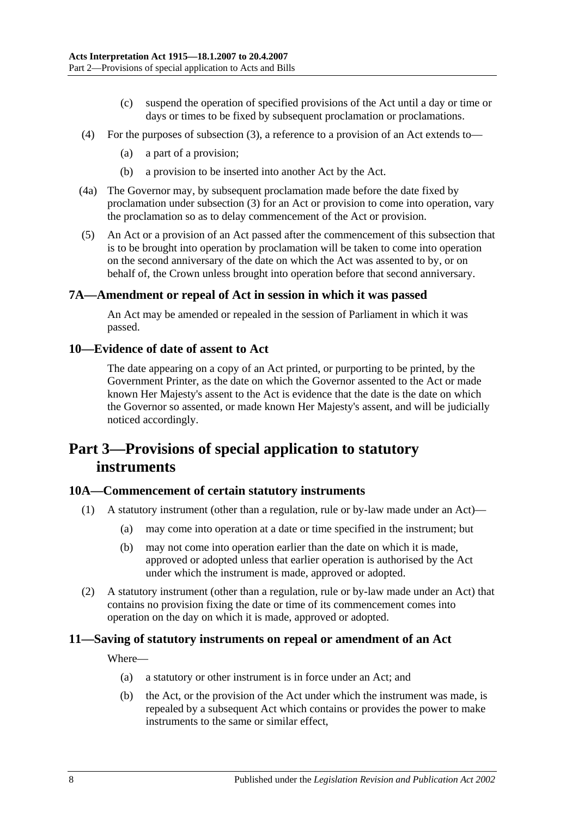- (c) suspend the operation of specified provisions of the Act until a day or time or days or times to be fixed by subsequent proclamation or proclamations.
- (4) For the purposes of [subsection](#page-6-7) (3), a reference to a provision of an Act extends to—
	- (a) a part of a provision;
	- (b) a provision to be inserted into another Act by the Act.
- (4a) The Governor may, by subsequent proclamation made before the date fixed by proclamation under [subsection](#page-6-7) (3) for an Act or provision to come into operation, vary the proclamation so as to delay commencement of the Act or provision.
- (5) An Act or a provision of an Act passed after the commencement of this subsection that is to be brought into operation by proclamation will be taken to come into operation on the second anniversary of the date on which the Act was assented to by, or on behalf of, the Crown unless brought into operation before that second anniversary.

#### <span id="page-7-0"></span>**7A—Amendment or repeal of Act in session in which it was passed**

An Act may be amended or repealed in the session of Parliament in which it was passed.

#### <span id="page-7-1"></span>**10—Evidence of date of assent to Act**

The date appearing on a copy of an Act printed, or purporting to be printed, by the Government Printer, as the date on which the Governor assented to the Act or made known Her Majesty's assent to the Act is evidence that the date is the date on which the Governor so assented, or made known Her Majesty's assent, and will be judicially noticed accordingly.

## <span id="page-7-2"></span>**Part 3—Provisions of special application to statutory instruments**

#### <span id="page-7-3"></span>**10A—Commencement of certain statutory instruments**

- (1) A statutory instrument (other than a regulation, rule or by-law made under an Act)—
	- (a) may come into operation at a date or time specified in the instrument; but
	- (b) may not come into operation earlier than the date on which it is made, approved or adopted unless that earlier operation is authorised by the Act under which the instrument is made, approved or adopted.
- (2) A statutory instrument (other than a regulation, rule or by-law made under an Act) that contains no provision fixing the date or time of its commencement comes into operation on the day on which it is made, approved or adopted.

#### <span id="page-7-4"></span>**11—Saving of statutory instruments on repeal or amendment of an Act**

Where—

- (a) a statutory or other instrument is in force under an Act; and
- (b) the Act, or the provision of the Act under which the instrument was made, is repealed by a subsequent Act which contains or provides the power to make instruments to the same or similar effect,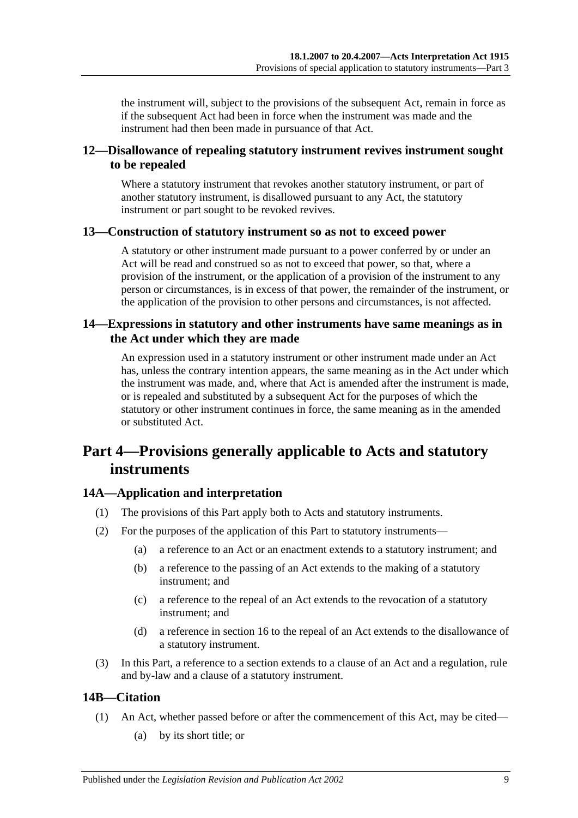the instrument will, subject to the provisions of the subsequent Act, remain in force as if the subsequent Act had been in force when the instrument was made and the instrument had then been made in pursuance of that Act.

## <span id="page-8-0"></span>**12—Disallowance of repealing statutory instrument revives instrument sought to be repealed**

Where a statutory instrument that revokes another statutory instrument, or part of another statutory instrument, is disallowed pursuant to any Act, the statutory instrument or part sought to be revoked revives.

#### <span id="page-8-1"></span>**13—Construction of statutory instrument so as not to exceed power**

A statutory or other instrument made pursuant to a power conferred by or under an Act will be read and construed so as not to exceed that power, so that, where a provision of the instrument, or the application of a provision of the instrument to any person or circumstances, is in excess of that power, the remainder of the instrument, or the application of the provision to other persons and circumstances, is not affected.

## <span id="page-8-2"></span>**14—Expressions in statutory and other instruments have same meanings as in the Act under which they are made**

An expression used in a statutory instrument or other instrument made under an Act has, unless the contrary intention appears, the same meaning as in the Act under which the instrument was made, and, where that Act is amended after the instrument is made, or is repealed and substituted by a subsequent Act for the purposes of which the statutory or other instrument continues in force, the same meaning as in the amended or substituted Act.

## <span id="page-8-3"></span>**Part 4—Provisions generally applicable to Acts and statutory instruments**

## <span id="page-8-4"></span>**14A—Application and interpretation**

- (1) The provisions of this Part apply both to Acts and statutory instruments.
- (2) For the purposes of the application of this Part to statutory instruments—
	- (a) a reference to an Act or an enactment extends to a statutory instrument; and
	- (b) a reference to the passing of an Act extends to the making of a statutory instrument; and
	- (c) a reference to the repeal of an Act extends to the revocation of a statutory instrument; and
	- (d) a reference in [section](#page-10-2) 16 to the repeal of an Act extends to the disallowance of a statutory instrument.
- (3) In this Part, a reference to a section extends to a clause of an Act and a regulation, rule and by-law and a clause of a statutory instrument.

## <span id="page-8-5"></span>**14B—Citation**

- (1) An Act, whether passed before or after the commencement of this Act, may be cited—
	- (a) by its short title; or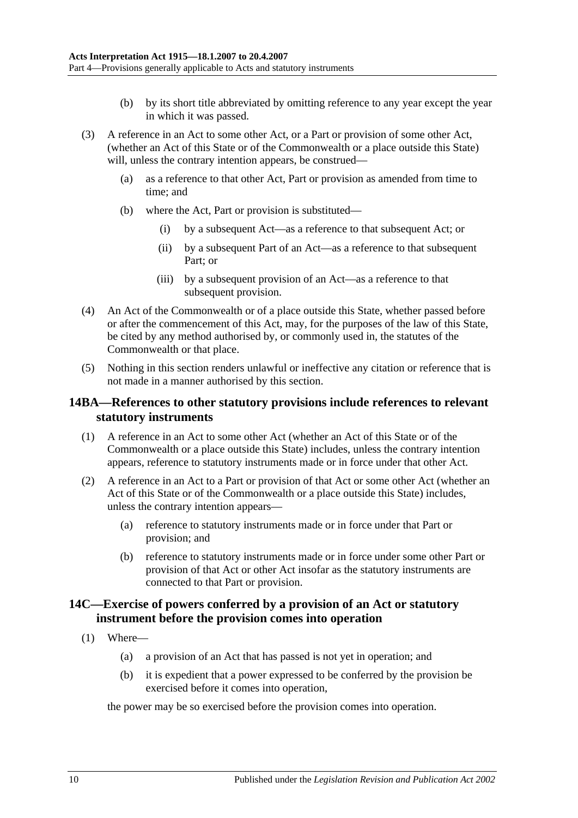- (b) by its short title abbreviated by omitting reference to any year except the year in which it was passed.
- (3) A reference in an Act to some other Act, or a Part or provision of some other Act, (whether an Act of this State or of the Commonwealth or a place outside this State) will, unless the contrary intention appears, be construed—
	- (a) as a reference to that other Act, Part or provision as amended from time to time; and
	- (b) where the Act, Part or provision is substituted—
		- (i) by a subsequent Act—as a reference to that subsequent Act; or
		- (ii) by a subsequent Part of an Act—as a reference to that subsequent Part; or
		- (iii) by a subsequent provision of an Act—as a reference to that subsequent provision.
- (4) An Act of the Commonwealth or of a place outside this State, whether passed before or after the commencement of this Act, may, for the purposes of the law of this State, be cited by any method authorised by, or commonly used in, the statutes of the Commonwealth or that place.
- (5) Nothing in this section renders unlawful or ineffective any citation or reference that is not made in a manner authorised by this section.

#### <span id="page-9-0"></span>**14BA—References to other statutory provisions include references to relevant statutory instruments**

- (1) A reference in an Act to some other Act (whether an Act of this State or of the Commonwealth or a place outside this State) includes, unless the contrary intention appears, reference to statutory instruments made or in force under that other Act.
- (2) A reference in an Act to a Part or provision of that Act or some other Act (whether an Act of this State or of the Commonwealth or a place outside this State) includes, unless the contrary intention appears—
	- (a) reference to statutory instruments made or in force under that Part or provision; and
	- (b) reference to statutory instruments made or in force under some other Part or provision of that Act or other Act insofar as the statutory instruments are connected to that Part or provision.

## <span id="page-9-1"></span>**14C—Exercise of powers conferred by a provision of an Act or statutory instrument before the provision comes into operation**

- <span id="page-9-2"></span>(1) Where—
	- (a) a provision of an Act that has passed is not yet in operation; and
	- (b) it is expedient that a power expressed to be conferred by the provision be exercised before it comes into operation,

the power may be so exercised before the provision comes into operation.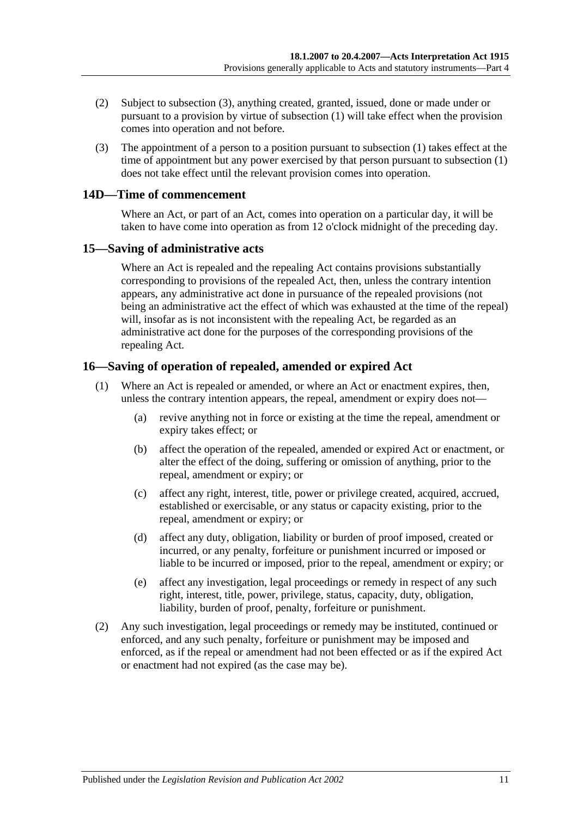- (2) Subject to [subsection](#page-10-3) (3), anything created, granted, issued, done or made under or pursuant to a provision by virtue of [subsection](#page-9-2) (1) will take effect when the provision comes into operation and not before.
- <span id="page-10-3"></span>(3) The appointment of a person to a position pursuant to [subsection](#page-9-2) (1) takes effect at the time of appointment but any power exercised by that person pursuant to [subsection](#page-9-2) (1) does not take effect until the relevant provision comes into operation.

### <span id="page-10-0"></span>**14D—Time of commencement**

Where an Act, or part of an Act, comes into operation on a particular day, it will be taken to have come into operation as from 12 o'clock midnight of the preceding day.

#### <span id="page-10-1"></span>**15—Saving of administrative acts**

Where an Act is repealed and the repealing Act contains provisions substantially corresponding to provisions of the repealed Act, then, unless the contrary intention appears, any administrative act done in pursuance of the repealed provisions (not being an administrative act the effect of which was exhausted at the time of the repeal) will, insofar as is not inconsistent with the repealing Act, be regarded as an administrative act done for the purposes of the corresponding provisions of the repealing Act.

## <span id="page-10-2"></span>**16—Saving of operation of repealed, amended or expired Act**

- (1) Where an Act is repealed or amended, or where an Act or enactment expires, then, unless the contrary intention appears, the repeal, amendment or expiry does not—
	- (a) revive anything not in force or existing at the time the repeal, amendment or expiry takes effect; or
	- (b) affect the operation of the repealed, amended or expired Act or enactment, or alter the effect of the doing, suffering or omission of anything, prior to the repeal, amendment or expiry; or
	- (c) affect any right, interest, title, power or privilege created, acquired, accrued, established or exercisable, or any status or capacity existing, prior to the repeal, amendment or expiry; or
	- (d) affect any duty, obligation, liability or burden of proof imposed, created or incurred, or any penalty, forfeiture or punishment incurred or imposed or liable to be incurred or imposed, prior to the repeal, amendment or expiry; or
	- (e) affect any investigation, legal proceedings or remedy in respect of any such right, interest, title, power, privilege, status, capacity, duty, obligation, liability, burden of proof, penalty, forfeiture or punishment.
- (2) Any such investigation, legal proceedings or remedy may be instituted, continued or enforced, and any such penalty, forfeiture or punishment may be imposed and enforced, as if the repeal or amendment had not been effected or as if the expired Act or enactment had not expired (as the case may be).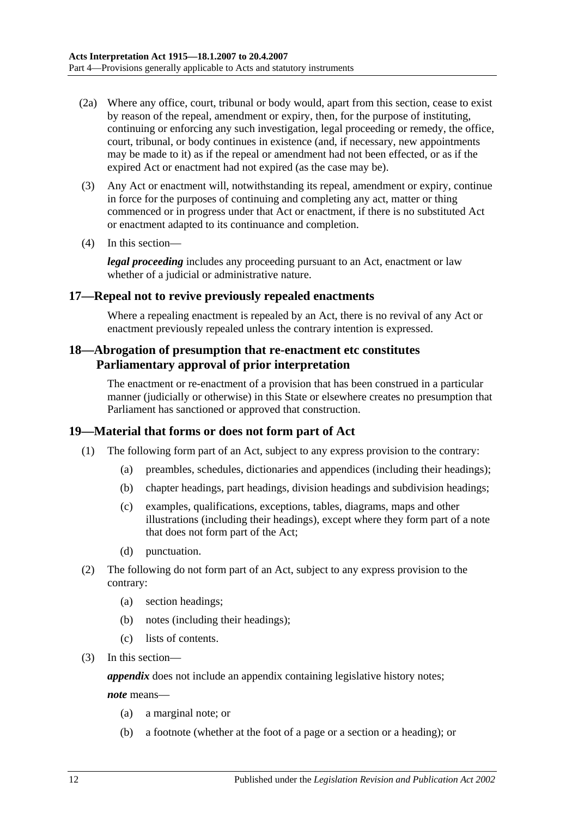- (2a) Where any office, court, tribunal or body would, apart from this section, cease to exist by reason of the repeal, amendment or expiry, then, for the purpose of instituting, continuing or enforcing any such investigation, legal proceeding or remedy, the office, court, tribunal, or body continues in existence (and, if necessary, new appointments may be made to it) as if the repeal or amendment had not been effected, or as if the expired Act or enactment had not expired (as the case may be).
- (3) Any Act or enactment will, notwithstanding its repeal, amendment or expiry, continue in force for the purposes of continuing and completing any act, matter or thing commenced or in progress under that Act or enactment, if there is no substituted Act or enactment adapted to its continuance and completion.
- (4) In this section—

*legal proceeding* includes any proceeding pursuant to an Act, enactment or law whether of a judicial or administrative nature.

#### <span id="page-11-0"></span>**17—Repeal not to revive previously repealed enactments**

Where a repealing enactment is repealed by an Act, there is no revival of any Act or enactment previously repealed unless the contrary intention is expressed.

## <span id="page-11-1"></span>**18—Abrogation of presumption that re-enactment etc constitutes Parliamentary approval of prior interpretation**

The enactment or re-enactment of a provision that has been construed in a particular manner (judicially or otherwise) in this State or elsewhere creates no presumption that Parliament has sanctioned or approved that construction.

#### <span id="page-11-2"></span>**19—Material that forms or does not form part of Act**

- (1) The following form part of an Act, subject to any express provision to the contrary:
	- (a) preambles, schedules, dictionaries and appendices (including their headings);
	- (b) chapter headings, part headings, division headings and subdivision headings;
	- (c) examples, qualifications, exceptions, tables, diagrams, maps and other illustrations (including their headings), except where they form part of a note that does not form part of the Act;
	- (d) punctuation.
- (2) The following do not form part of an Act, subject to any express provision to the contrary:
	- (a) section headings;
	- (b) notes (including their headings);
	- (c) lists of contents.
- (3) In this section—

*appendix* does not include an appendix containing legislative history notes;

*note* means—

- (a) a marginal note; or
- (b) a footnote (whether at the foot of a page or a section or a heading); or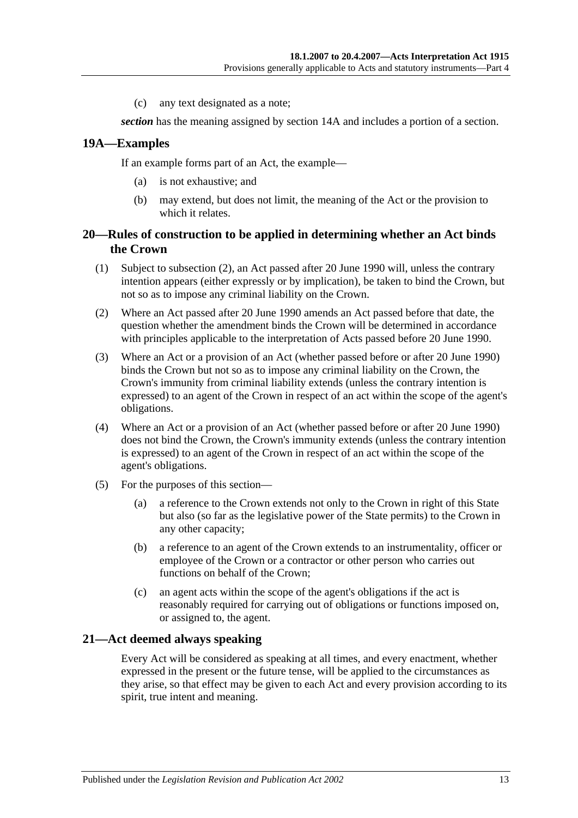(c) any text designated as a note;

*section* has the meaning assigned by [section](#page-8-4) 14A and includes a portion of a section.

#### <span id="page-12-0"></span>**19A—Examples**

If an example forms part of an Act, the example—

- (a) is not exhaustive; and
- (b) may extend, but does not limit, the meaning of the Act or the provision to which it relates.

#### <span id="page-12-1"></span>**20—Rules of construction to be applied in determining whether an Act binds the Crown**

- (1) Subject to [subsection](#page-12-3) (2), an Act passed after 20 June 1990 will, unless the contrary intention appears (either expressly or by implication), be taken to bind the Crown, but not so as to impose any criminal liability on the Crown.
- <span id="page-12-3"></span>(2) Where an Act passed after 20 June 1990 amends an Act passed before that date, the question whether the amendment binds the Crown will be determined in accordance with principles applicable to the interpretation of Acts passed before 20 June 1990.
- (3) Where an Act or a provision of an Act (whether passed before or after 20 June 1990) binds the Crown but not so as to impose any criminal liability on the Crown, the Crown's immunity from criminal liability extends (unless the contrary intention is expressed) to an agent of the Crown in respect of an act within the scope of the agent's obligations.
- (4) Where an Act or a provision of an Act (whether passed before or after 20 June 1990) does not bind the Crown, the Crown's immunity extends (unless the contrary intention is expressed) to an agent of the Crown in respect of an act within the scope of the agent's obligations.
- (5) For the purposes of this section—
	- (a) a reference to the Crown extends not only to the Crown in right of this State but also (so far as the legislative power of the State permits) to the Crown in any other capacity;
	- (b) a reference to an agent of the Crown extends to an instrumentality, officer or employee of the Crown or a contractor or other person who carries out functions on behalf of the Crown;
	- (c) an agent acts within the scope of the agent's obligations if the act is reasonably required for carrying out of obligations or functions imposed on, or assigned to, the agent.

#### <span id="page-12-2"></span>**21—Act deemed always speaking**

Every Act will be considered as speaking at all times, and every enactment, whether expressed in the present or the future tense, will be applied to the circumstances as they arise, so that effect may be given to each Act and every provision according to its spirit, true intent and meaning.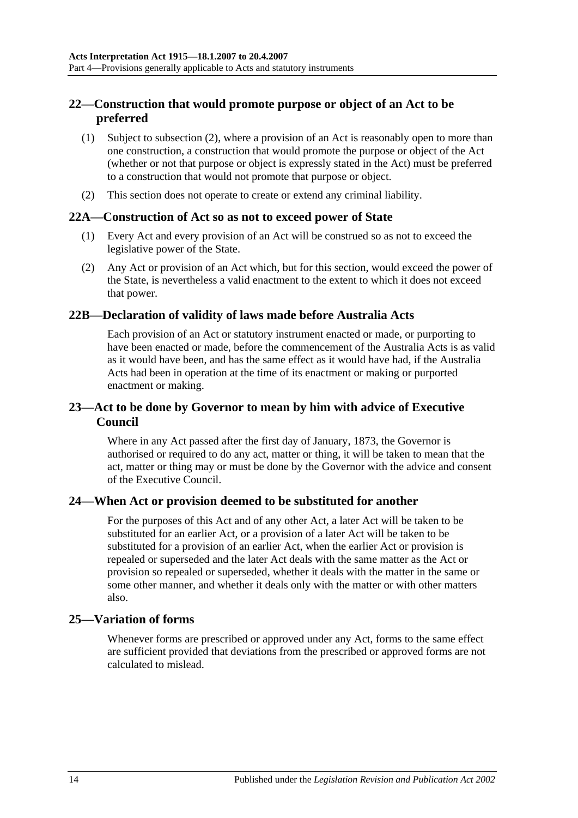## <span id="page-13-0"></span>**22—Construction that would promote purpose or object of an Act to be preferred**

- (1) Subject to [subsection](#page-13-6) (2), where a provision of an Act is reasonably open to more than one construction, a construction that would promote the purpose or object of the Act (whether or not that purpose or object is expressly stated in the Act) must be preferred to a construction that would not promote that purpose or object.
- <span id="page-13-6"></span>(2) This section does not operate to create or extend any criminal liability.

#### <span id="page-13-1"></span>**22A—Construction of Act so as not to exceed power of State**

- (1) Every Act and every provision of an Act will be construed so as not to exceed the legislative power of the State.
- (2) Any Act or provision of an Act which, but for this section, would exceed the power of the State, is nevertheless a valid enactment to the extent to which it does not exceed that power.

#### <span id="page-13-2"></span>**22B—Declaration of validity of laws made before Australia Acts**

Each provision of an Act or statutory instrument enacted or made, or purporting to have been enacted or made, before the commencement of the Australia Acts is as valid as it would have been, and has the same effect as it would have had, if the Australia Acts had been in operation at the time of its enactment or making or purported enactment or making.

## <span id="page-13-3"></span>**23—Act to be done by Governor to mean by him with advice of Executive Council**

Where in any Act passed after the first day of January, 1873, the Governor is authorised or required to do any act, matter or thing, it will be taken to mean that the act, matter or thing may or must be done by the Governor with the advice and consent of the Executive Council.

#### <span id="page-13-4"></span>**24—When Act or provision deemed to be substituted for another**

For the purposes of this Act and of any other Act, a later Act will be taken to be substituted for an earlier Act, or a provision of a later Act will be taken to be substituted for a provision of an earlier Act, when the earlier Act or provision is repealed or superseded and the later Act deals with the same matter as the Act or provision so repealed or superseded, whether it deals with the matter in the same or some other manner, and whether it deals only with the matter or with other matters also.

#### <span id="page-13-5"></span>**25—Variation of forms**

Whenever forms are prescribed or approved under any Act, forms to the same effect are sufficient provided that deviations from the prescribed or approved forms are not calculated to mislead.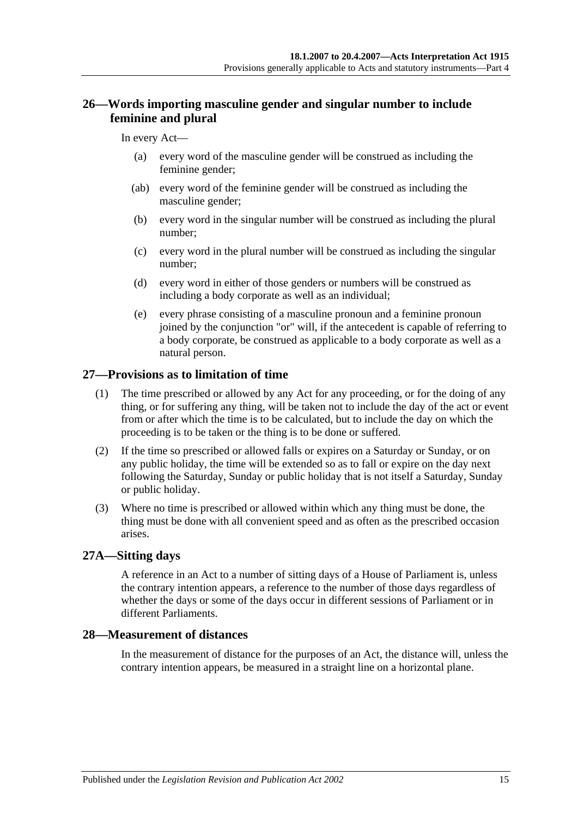## <span id="page-14-0"></span>**26—Words importing masculine gender and singular number to include feminine and plural**

#### In every Act—

- (a) every word of the masculine gender will be construed as including the feminine gender;
- (ab) every word of the feminine gender will be construed as including the masculine gender;
- (b) every word in the singular number will be construed as including the plural number;
- (c) every word in the plural number will be construed as including the singular number;
- (d) every word in either of those genders or numbers will be construed as including a body corporate as well as an individual;
- (e) every phrase consisting of a masculine pronoun and a feminine pronoun joined by the conjunction "or" will, if the antecedent is capable of referring to a body corporate, be construed as applicable to a body corporate as well as a natural person.

#### <span id="page-14-1"></span>**27—Provisions as to limitation of time**

- (1) The time prescribed or allowed by any Act for any proceeding, or for the doing of any thing, or for suffering any thing, will be taken not to include the day of the act or event from or after which the time is to be calculated, but to include the day on which the proceeding is to be taken or the thing is to be done or suffered.
- (2) If the time so prescribed or allowed falls or expires on a Saturday or Sunday, or on any public holiday, the time will be extended so as to fall or expire on the day next following the Saturday, Sunday or public holiday that is not itself a Saturday, Sunday or public holiday.
- (3) Where no time is prescribed or allowed within which any thing must be done, the thing must be done with all convenient speed and as often as the prescribed occasion arises.

#### <span id="page-14-2"></span>**27A—Sitting days**

A reference in an Act to a number of sitting days of a House of Parliament is, unless the contrary intention appears, a reference to the number of those days regardless of whether the days or some of the days occur in different sessions of Parliament or in different Parliaments.

#### <span id="page-14-3"></span>**28—Measurement of distances**

In the measurement of distance for the purposes of an Act, the distance will, unless the contrary intention appears, be measured in a straight line on a horizontal plane.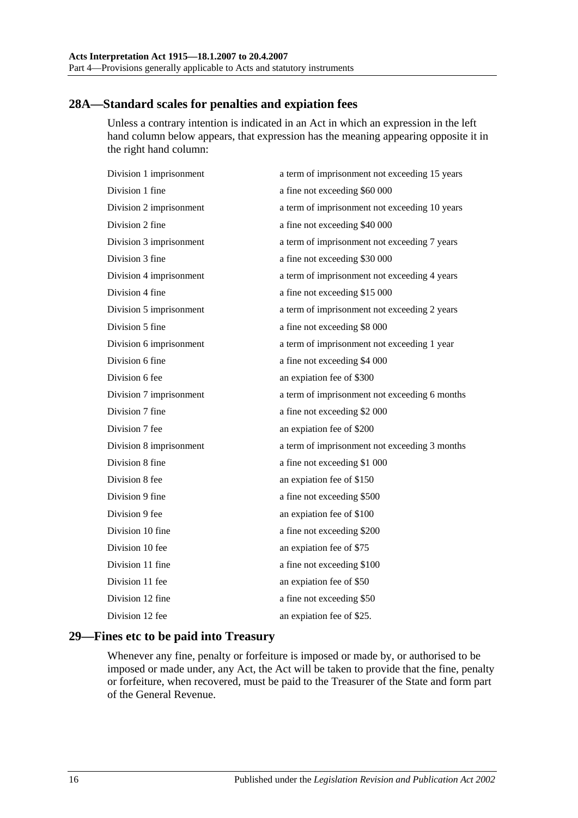## <span id="page-15-0"></span>**28A—Standard scales for penalties and expiation fees**

Unless a contrary intention is indicated in an Act in which an expression in the left hand column below appears, that expression has the meaning appearing opposite it in the right hand column:

| Division 1 imprisonment | a term of imprisonment not exceeding 15 years |
|-------------------------|-----------------------------------------------|
| Division 1 fine         | a fine not exceeding \$60 000                 |
| Division 2 imprisonment | a term of imprisonment not exceeding 10 years |
| Division 2 fine         | a fine not exceeding \$40 000                 |
| Division 3 imprisonment | a term of imprisonment not exceeding 7 years  |
| Division 3 fine         | a fine not exceeding \$30 000                 |
| Division 4 imprisonment | a term of imprisonment not exceeding 4 years  |
| Division 4 fine         | a fine not exceeding \$15 000                 |
| Division 5 imprisonment | a term of imprisonment not exceeding 2 years  |
| Division 5 fine         | a fine not exceeding \$8 000                  |
| Division 6 imprisonment | a term of imprisonment not exceeding 1 year   |
| Division 6 fine         | a fine not exceeding \$4 000                  |
| Division 6 fee          | an expiation fee of \$300                     |
| Division 7 imprisonment | a term of imprisonment not exceeding 6 months |
| Division 7 fine         | a fine not exceeding \$2 000                  |
| Division 7 fee          | an expiation fee of \$200                     |
| Division 8 imprisonment | a term of imprisonment not exceeding 3 months |
| Division 8 fine         | a fine not exceeding \$1 000                  |
| Division 8 fee          | an expiation fee of \$150                     |
| Division 9 fine         | a fine not exceeding \$500                    |
| Division 9 fee          | an expiation fee of \$100                     |
| Division 10 fine        | a fine not exceeding \$200                    |
| Division 10 fee         | an expiation fee of \$75                      |
| Division 11 fine        | a fine not exceeding \$100                    |
| Division 11 fee         | an expiation fee of \$50                      |
| Division 12 fine        | a fine not exceeding \$50                     |
| Division 12 fee         | an expiation fee of \$25.                     |
|                         |                                               |

## <span id="page-15-1"></span>**29—Fines etc to be paid into Treasury**

Whenever any fine, penalty or forfeiture is imposed or made by, or authorised to be imposed or made under, any Act, the Act will be taken to provide that the fine, penalty or forfeiture, when recovered, must be paid to the Treasurer of the State and form part of the General Revenue.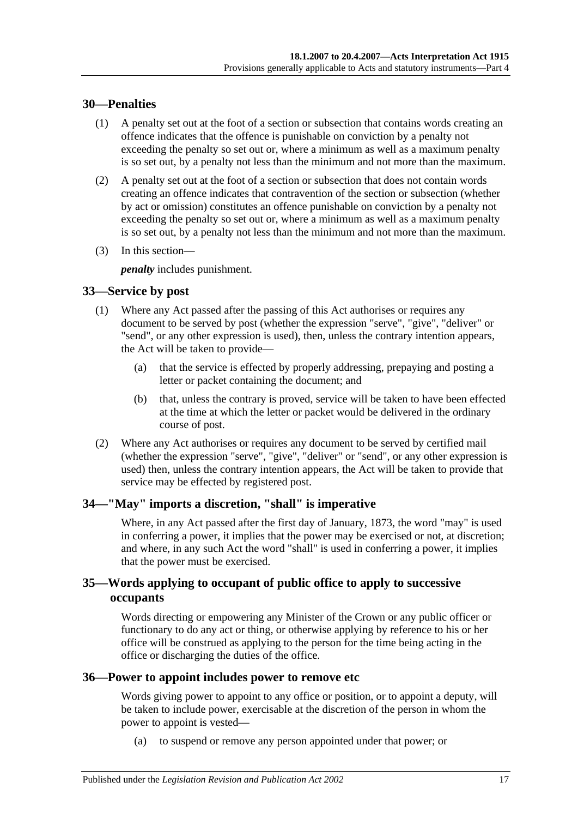### <span id="page-16-0"></span>**30—Penalties**

- (1) A penalty set out at the foot of a section or subsection that contains words creating an offence indicates that the offence is punishable on conviction by a penalty not exceeding the penalty so set out or, where a minimum as well as a maximum penalty is so set out, by a penalty not less than the minimum and not more than the maximum.
- (2) A penalty set out at the foot of a section or subsection that does not contain words creating an offence indicates that contravention of the section or subsection (whether by act or omission) constitutes an offence punishable on conviction by a penalty not exceeding the penalty so set out or, where a minimum as well as a maximum penalty is so set out, by a penalty not less than the minimum and not more than the maximum.
- (3) In this section—

*penalty* includes punishment.

## <span id="page-16-1"></span>**33—Service by post**

- (1) Where any Act passed after the passing of this Act authorises or requires any document to be served by post (whether the expression "serve", "give", "deliver" or "send", or any other expression is used), then, unless the contrary intention appears, the Act will be taken to provide—
	- (a) that the service is effected by properly addressing, prepaying and posting a letter or packet containing the document; and
	- (b) that, unless the contrary is proved, service will be taken to have been effected at the time at which the letter or packet would be delivered in the ordinary course of post.
- (2) Where any Act authorises or requires any document to be served by certified mail (whether the expression "serve", "give", "deliver" or "send", or any other expression is used) then, unless the contrary intention appears, the Act will be taken to provide that service may be effected by registered post.

## <span id="page-16-2"></span>**34—"May" imports a discretion, "shall" is imperative**

Where, in any Act passed after the first day of January, 1873, the word "may" is used in conferring a power, it implies that the power may be exercised or not, at discretion; and where, in any such Act the word "shall" is used in conferring a power, it implies that the power must be exercised.

## <span id="page-16-3"></span>**35—Words applying to occupant of public office to apply to successive occupants**

Words directing or empowering any Minister of the Crown or any public officer or functionary to do any act or thing, or otherwise applying by reference to his or her office will be construed as applying to the person for the time being acting in the office or discharging the duties of the office.

#### <span id="page-16-4"></span>**36—Power to appoint includes power to remove etc**

Words giving power to appoint to any office or position, or to appoint a deputy, will be taken to include power, exercisable at the discretion of the person in whom the power to appoint is vested—

(a) to suspend or remove any person appointed under that power; or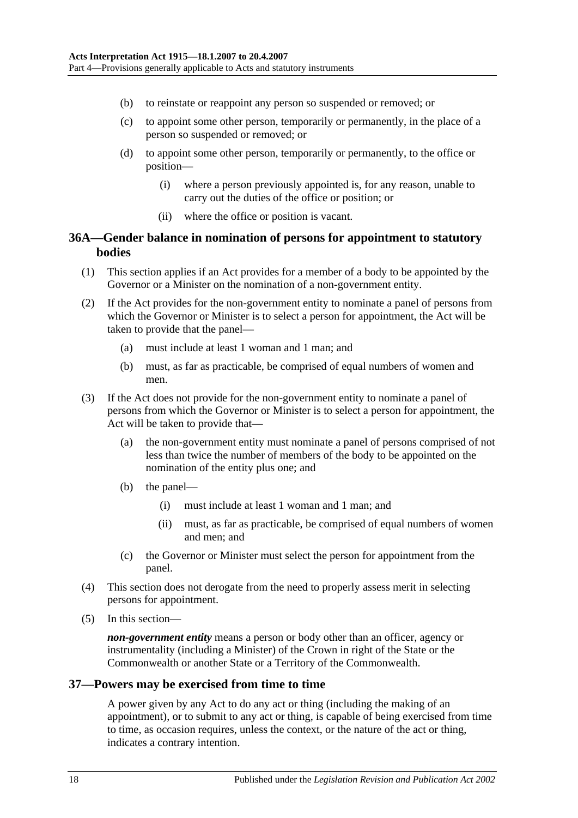- (b) to reinstate or reappoint any person so suspended or removed; or
- (c) to appoint some other person, temporarily or permanently, in the place of a person so suspended or removed; or
- (d) to appoint some other person, temporarily or permanently, to the office or position—
	- (i) where a person previously appointed is, for any reason, unable to carry out the duties of the office or position; or
	- (ii) where the office or position is vacant.

#### <span id="page-17-0"></span>**36A—Gender balance in nomination of persons for appointment to statutory bodies**

- (1) This section applies if an Act provides for a member of a body to be appointed by the Governor or a Minister on the nomination of a non-government entity.
- (2) If the Act provides for the non-government entity to nominate a panel of persons from which the Governor or Minister is to select a person for appointment, the Act will be taken to provide that the panel—
	- (a) must include at least 1 woman and 1 man; and
	- (b) must, as far as practicable, be comprised of equal numbers of women and men.
- (3) If the Act does not provide for the non-government entity to nominate a panel of persons from which the Governor or Minister is to select a person for appointment, the Act will be taken to provide that-
	- (a) the non-government entity must nominate a panel of persons comprised of not less than twice the number of members of the body to be appointed on the nomination of the entity plus one; and
	- (b) the panel—
		- (i) must include at least 1 woman and 1 man; and
		- (ii) must, as far as practicable, be comprised of equal numbers of women and men; and
	- (c) the Governor or Minister must select the person for appointment from the panel.
- (4) This section does not derogate from the need to properly assess merit in selecting persons for appointment.
- (5) In this section—

*non-government entity* means a person or body other than an officer, agency or instrumentality (including a Minister) of the Crown in right of the State or the Commonwealth or another State or a Territory of the Commonwealth.

#### <span id="page-17-1"></span>**37—Powers may be exercised from time to time**

A power given by any Act to do any act or thing (including the making of an appointment), or to submit to any act or thing, is capable of being exercised from time to time, as occasion requires, unless the context, or the nature of the act or thing, indicates a contrary intention.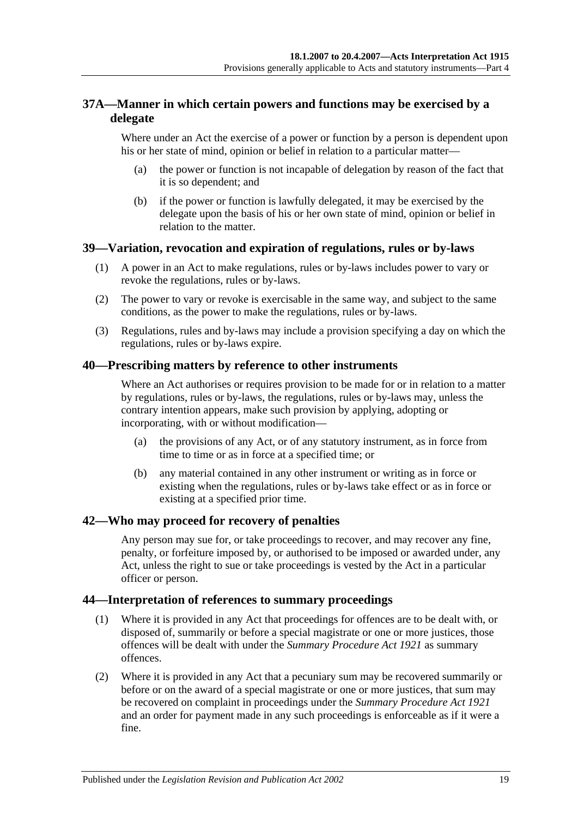## <span id="page-18-0"></span>**37A—Manner in which certain powers and functions may be exercised by a delegate**

Where under an Act the exercise of a power or function by a person is dependent upon his or her state of mind, opinion or belief in relation to a particular matter—

- (a) the power or function is not incapable of delegation by reason of the fact that it is so dependent; and
- (b) if the power or function is lawfully delegated, it may be exercised by the delegate upon the basis of his or her own state of mind, opinion or belief in relation to the matter.

## <span id="page-18-1"></span>**39—Variation, revocation and expiration of regulations, rules or by-laws**

- (1) A power in an Act to make regulations, rules or by-laws includes power to vary or revoke the regulations, rules or by-laws.
- (2) The power to vary or revoke is exercisable in the same way, and subject to the same conditions, as the power to make the regulations, rules or by-laws.
- (3) Regulations, rules and by-laws may include a provision specifying a day on which the regulations, rules or by-laws expire.

#### <span id="page-18-2"></span>**40—Prescribing matters by reference to other instruments**

Where an Act authorises or requires provision to be made for or in relation to a matter by regulations, rules or by-laws, the regulations, rules or by-laws may, unless the contrary intention appears, make such provision by applying, adopting or incorporating, with or without modification—

- (a) the provisions of any Act, or of any statutory instrument, as in force from time to time or as in force at a specified time; or
- (b) any material contained in any other instrument or writing as in force or existing when the regulations, rules or by-laws take effect or as in force or existing at a specified prior time.

#### <span id="page-18-3"></span>**42—Who may proceed for recovery of penalties**

Any person may sue for, or take proceedings to recover, and may recover any fine, penalty, or forfeiture imposed by, or authorised to be imposed or awarded under, any Act, unless the right to sue or take proceedings is vested by the Act in a particular officer or person.

#### <span id="page-18-4"></span>**44—Interpretation of references to summary proceedings**

- (1) Where it is provided in any Act that proceedings for offences are to be dealt with, or disposed of, summarily or before a special magistrate or one or more justices, those offences will be dealt with under the *[Summary Procedure Act](http://www.legislation.sa.gov.au/index.aspx?action=legref&type=act&legtitle=Summary%20Procedure%20Act%201921) 1921* as summary offences.
- (2) Where it is provided in any Act that a pecuniary sum may be recovered summarily or before or on the award of a special magistrate or one or more justices, that sum may be recovered on complaint in proceedings under the *[Summary Procedure Act](http://www.legislation.sa.gov.au/index.aspx?action=legref&type=act&legtitle=Summary%20Procedure%20Act%201921) 1921* and an order for payment made in any such proceedings is enforceable as if it were a fine.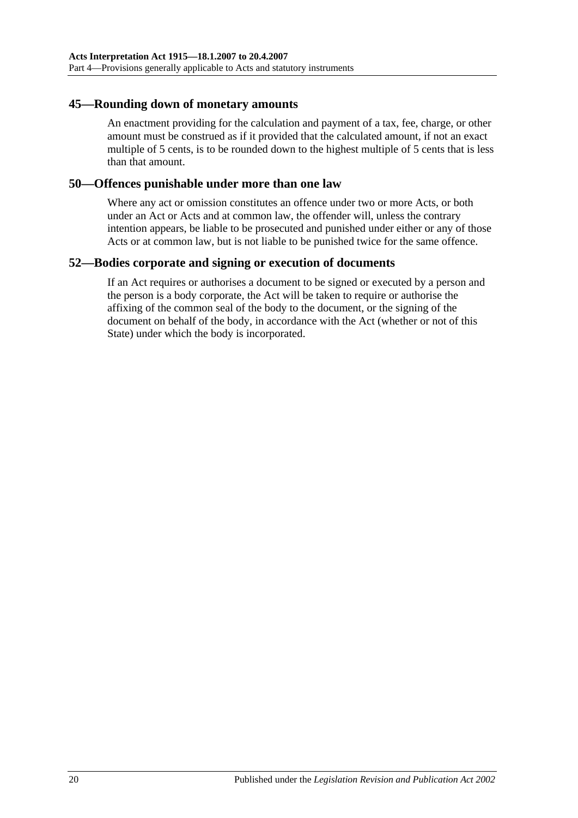#### <span id="page-19-0"></span>**45—Rounding down of monetary amounts**

An enactment providing for the calculation and payment of a tax, fee, charge, or other amount must be construed as if it provided that the calculated amount, if not an exact multiple of 5 cents, is to be rounded down to the highest multiple of 5 cents that is less than that amount.

#### <span id="page-19-1"></span>**50—Offences punishable under more than one law**

Where any act or omission constitutes an offence under two or more Acts, or both under an Act or Acts and at common law, the offender will, unless the contrary intention appears, be liable to be prosecuted and punished under either or any of those Acts or at common law, but is not liable to be punished twice for the same offence.

#### <span id="page-19-2"></span>**52—Bodies corporate and signing or execution of documents**

If an Act requires or authorises a document to be signed or executed by a person and the person is a body corporate, the Act will be taken to require or authorise the affixing of the common seal of the body to the document, or the signing of the document on behalf of the body, in accordance with the Act (whether or not of this State) under which the body is incorporated.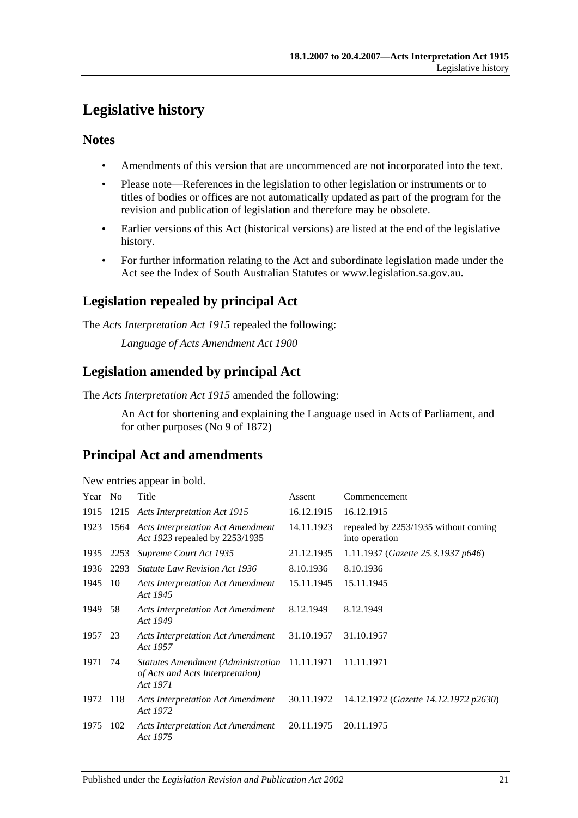## <span id="page-20-0"></span>**Legislative history**

## **Notes**

- Amendments of this version that are uncommenced are not incorporated into the text.
- Please note—References in the legislation to other legislation or instruments or to titles of bodies or offices are not automatically updated as part of the program for the revision and publication of legislation and therefore may be obsolete.
- Earlier versions of this Act (historical versions) are listed at the end of the legislative history.
- For further information relating to the Act and subordinate legislation made under the Act see the Index of South Australian Statutes or www.legislation.sa.gov.au.

## **Legislation repealed by principal Act**

The *Acts Interpretation Act 1915* repealed the following:

*Language of Acts Amendment Act 1900*

## **Legislation amended by principal Act**

The *Acts Interpretation Act 1915* amended the following:

An Act for shortening and explaining the Language used in Acts of Parliament, and for other purposes (No 9 of 1872)

## **Principal Act and amendments**

| New entries appear in bold. |  |  |
|-----------------------------|--|--|
|                             |  |  |

| Year | N <sub>0</sub> | Title                                                                                         | Assent     | Commencement                                           |
|------|----------------|-----------------------------------------------------------------------------------------------|------------|--------------------------------------------------------|
| 1915 |                | 1215 Acts Interpretation Act 1915                                                             | 16.12.1915 | 16.12.1915                                             |
| 1923 |                | 1564 Acts Interpretation Act Amendment<br>Act 1923 repealed by 2253/1935                      | 14.11.1923 | repealed by 2253/1935 without coming<br>into operation |
| 1935 | 2253           | Supreme Court Act 1935                                                                        | 21.12.1935 | 1.11.1937 (Gazette 25.3.1937 p646)                     |
| 1936 | 2293           | <b>Statute Law Revision Act 1936</b>                                                          | 8.10.1936  | 8.10.1936                                              |
| 1945 | 10             | <b>Acts Interpretation Act Amendment</b><br>Act 1945                                          | 15.11.1945 | 15.11.1945                                             |
| 1949 | 58             | <b>Acts Interpretation Act Amendment</b><br>Act 1949                                          | 8.12.1949  | 8.12.1949                                              |
| 1957 | -23            | <b>Acts Interpretation Act Amendment</b><br>Act 1957                                          | 31.10.1957 | 31.10.1957                                             |
| 1971 | -74            | Statutes Amendment (Administration 11.11.1971<br>of Acts and Acts Interpretation)<br>Act 1971 |            | 11.11.1971                                             |
| 1972 | 118            | <b>Acts Interpretation Act Amendment</b><br>Act 1972                                          | 30.11.1972 | 14.12.1972 (Gazette 14.12.1972 p2630)                  |
| 1975 | 102            | <b>Acts Interpretation Act Amendment</b><br>Act 1975                                          | 20.11.1975 | 20.11.1975                                             |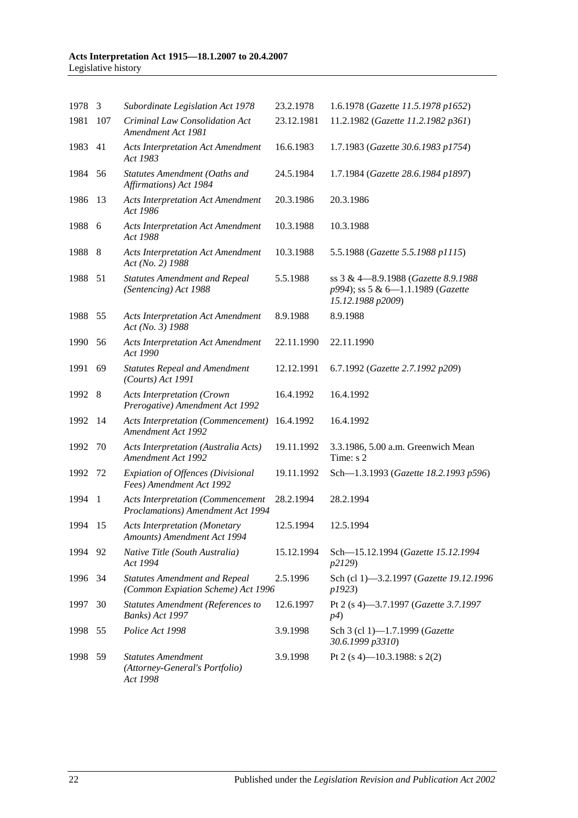#### **Acts Interpretation Act 1915—18.1.2007 to 20.4.2007** Legislative history

| 1978   | 3                        | Subordinate Legislation Act 1978                                              | 23.2.1978  | 1.6.1978 (Gazette 11.5.1978 p1652)                                                            |
|--------|--------------------------|-------------------------------------------------------------------------------|------------|-----------------------------------------------------------------------------------------------|
| 1981   | 107                      | Criminal Law Consolidation Act<br>Amendment Act 1981                          | 23.12.1981 | 11.2.1982 (Gazette 11.2.1982 p361)                                                            |
| 1983   | 41                       | <b>Acts Interpretation Act Amendment</b><br>Act 1983                          | 16.6.1983  | 1.7.1983 (Gazette 30.6.1983 p1754)                                                            |
| 1984   | 56                       | Statutes Amendment (Oaths and<br>Affirmations) Act 1984                       | 24.5.1984  | 1.7.1984 (Gazette 28.6.1984 p1897)                                                            |
| 1986   | 13                       | <b>Acts Interpretation Act Amendment</b><br>Act 1986                          | 20.3.1986  | 20.3.1986                                                                                     |
| 1988   | - 6                      | <b>Acts Interpretation Act Amendment</b><br>Act 1988                          | 10.3.1988  | 10.3.1988                                                                                     |
| 1988 8 |                          | <b>Acts Interpretation Act Amendment</b><br>Act (No. 2) 1988                  | 10.3.1988  | 5.5.1988 (Gazette 5.5.1988 p1115)                                                             |
| 1988   | 51                       | <b>Statutes Amendment and Repeal</b><br>(Sentencing) Act 1988                 | 5.5.1988   | ss 3 & 4-8.9.1988 (Gazette 8.9.1988<br>p994); ss 5 & 6-1.1.1989 (Gazette<br>15.12.1988 p2009) |
| 1988   | - 55                     | <b>Acts Interpretation Act Amendment</b><br>Act (No. 3) 1988                  | 8.9.1988   | 8.9.1988                                                                                      |
| 1990   | 56                       | <b>Acts Interpretation Act Amendment</b><br>Act 1990                          | 22.11.1990 | 22.11.1990                                                                                    |
| 1991   | 69                       | <b>Statutes Repeal and Amendment</b><br>(Courts) Act 1991                     | 12.12.1991 | 6.7.1992 (Gazette 2.7.1992 p209)                                                              |
| 1992 8 |                          | <b>Acts Interpretation (Crown</b><br>Prerogative) Amendment Act 1992          | 16.4.1992  | 16.4.1992                                                                                     |
| 1992   | -14                      | <b>Acts Interpretation (Commencement)</b><br>Amendment Act 1992               | 16.4.1992  | 16.4.1992                                                                                     |
| 1992   | 70                       | Acts Interpretation (Australia Acts)<br>Amendment Act 1992                    | 19.11.1992 | 3.3.1986, 5.00 a.m. Greenwich Mean<br>Time: s 2                                               |
| 1992   | - 72                     | Expiation of Offences (Divisional<br>Fees) Amendment Act 1992                 | 19.11.1992 | Sch-1.3.1993 (Gazette 18.2.1993 p596)                                                         |
| 1994   | $\overline{\phantom{a}}$ | <b>Acts Interpretation (Commencement</b><br>Proclamations) Amendment Act 1994 | 28.2.1994  | 28.2.1994                                                                                     |
| 1994   | -15                      | <b>Acts Interpretation (Monetary</b><br>Amounts) Amendment Act 1994           | 12.5.1994  | 12.5.1994                                                                                     |
| 1994   | 92                       | Native Title (South Australia)<br>Act 1994                                    | 15.12.1994 | Sch-15.12.1994 (Gazette 15.12.1994<br>p2129)                                                  |
| 1996   | - 34                     | <b>Statutes Amendment and Repeal</b><br>(Common Expiation Scheme) Act 1996    | 2.5.1996   | Sch (cl 1)-3.2.1997 (Gazette 19.12.1996<br>p1923)                                             |
| 1997   | 30                       | <b>Statutes Amendment (References to</b><br>Banks) Act 1997                   | 12.6.1997  | Pt 2 (s 4)-3.7.1997 (Gazette 3.7.1997<br>p4)                                                  |
| 1998   | 55                       | Police Act 1998                                                               | 3.9.1998   | Sch 3 (cl 1)-1.7.1999 (Gazette<br>30.6.1999 p3310)                                            |
| 1998   | 59                       | <b>Statutes Amendment</b><br>(Attorney-General's Portfolio)<br>Act 1998       | 3.9.1998   | Pt 2 (s 4)—10.3.1988: s 2(2)                                                                  |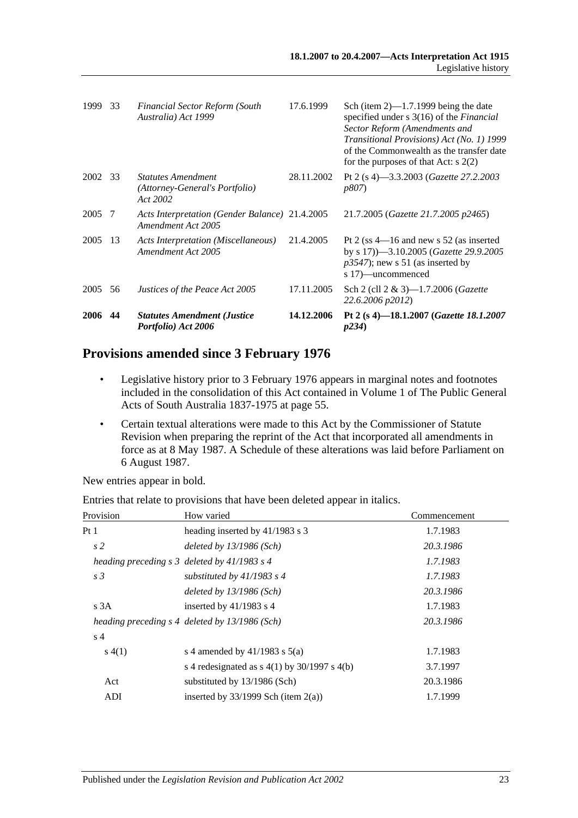| 1999    | 33  | <b>Financial Sector Reform (South</b><br>Australia) Act 1999            | 17.6.1999  | Sch (item $2$ )—1.7.1999 being the date<br>specified under s 3(16) of the <i>Financial</i><br>Sector Reform (Amendments and<br>Transitional Provisions) Act (No. 1) 1999<br>of the Commonwealth as the transfer date<br>for the purposes of that Act: $s$ 2(2) |
|---------|-----|-------------------------------------------------------------------------|------------|----------------------------------------------------------------------------------------------------------------------------------------------------------------------------------------------------------------------------------------------------------------|
| 2002 33 |     | <b>Statutes Amendment</b><br>(Attorney-General's Portfolio)<br>Act 2002 | 28.11.2002 | Pt 2 (s 4)—3.3.2003 ( <i>Gazette 27.2.2003</i><br><i>p807</i> )                                                                                                                                                                                                |
| 2005    | - 7 | Acts Interpretation (Gender Balance) 21.4.2005<br>Amendment Act 2005    |            | 21.7.2005 (Gazette 21.7.2005 p2465)                                                                                                                                                                                                                            |
| 2005    | -13 | Acts Interpretation (Miscellaneous)<br>Amendment Act 2005               | 21.4.2005  | Pt 2 (ss $4-16$ and new s 52 (as inserted<br>by s 17))-3.10.2005 (Gazette 29.9.2005<br>$p3547$ ; new s 51 (as inserted by<br>s 17)—uncommenced                                                                                                                 |
| 2005    | 56  | Justices of the Peace Act 2005                                          | 17.11.2005 | Sch 2 (cll 2 & 3)-1.7.2006 (Gazette<br>22.6.2006 p2012)                                                                                                                                                                                                        |
| 2006    | 44  | <b>Statutes Amendment (Justice</b><br>Portfolio) Act 2006               | 14.12.2006 | Pt 2 (s 4)-18.1.2007 ( <i>Gazette 18.1.2007</i><br>p234)                                                                                                                                                                                                       |

## **Provisions amended since 3 February 1976**

- Legislative history prior to 3 February 1976 appears in marginal notes and footnotes included in the consolidation of this Act contained in Volume 1 of The Public General Acts of South Australia 1837-1975 at page 55.
- Certain textual alterations were made to this Act by the Commissioner of Statute Revision when preparing the reprint of the Act that incorporated all amendments in force as at 8 May 1987. A Schedule of these alterations was laid before Parliament on 6 August 1987.

New entries appear in bold.

| Provision      | How varied                                        | Commencement |
|----------------|---------------------------------------------------|--------------|
| Pt 1           | heading inserted by 41/1983 s 3                   | 1.7.1983     |
| s <sub>2</sub> | deleted by $13/1986$ (Sch)                        | 20.3.1986    |
|                | heading preceding $s \, 3$ deleted by 41/1983 s 4 | 1.7.1983     |
| s <sub>3</sub> | substituted by $41/1983$ s 4                      | 1.7.1983     |
|                | deleted by $13/1986$ (Sch)                        | 20.3.1986    |
| s3A            | inserted by $41/1983$ s 4                         | 1.7.1983     |
|                | heading preceding s 4 deleted by 13/1986 (Sch)    | 20.3.1986    |
| s <sub>4</sub> |                                                   |              |
| s(4(1))        | s 4 amended by $41/1983$ s $5(a)$                 | 1.7.1983     |
|                | s 4 redesignated as $s$ 4(1) by 30/1997 s 4(b)    | 3.7.1997     |
| Act            | substituted by 13/1986 (Sch)                      | 20.3.1986    |
| ADI            | inserted by $33/1999$ Sch (item 2(a))             | 1.7.1999     |

Entries that relate to provisions that have been deleted appear in italics.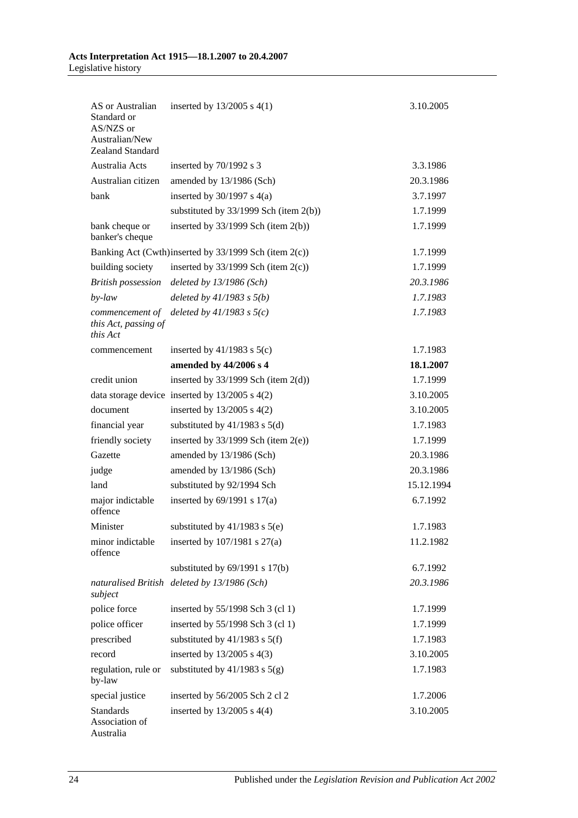| AS or Australian<br>Standard or<br>AS/NZS or<br>Australian/New<br><b>Zealand Standard</b> | inserted by $13/2005$ s $4(1)$                        | 3.10.2005  |
|-------------------------------------------------------------------------------------------|-------------------------------------------------------|------------|
| Australia Acts                                                                            | inserted by 70/1992 s 3                               | 3.3.1986   |
| Australian citizen                                                                        | amended by 13/1986 (Sch)                              | 20.3.1986  |
| bank                                                                                      | inserted by $30/1997$ s $4(a)$                        | 3.7.1997   |
|                                                                                           | substituted by $33/1999$ Sch (item 2(b))              | 1.7.1999   |
| bank cheque or<br>banker's cheque                                                         | inserted by $33/1999$ Sch (item $2(b)$ )              | 1.7.1999   |
|                                                                                           | Banking Act (Cwth)inserted by 33/1999 Sch (item 2(c)) | 1.7.1999   |
| building society                                                                          | inserted by $33/1999$ Sch (item $2(c)$ )              | 1.7.1999   |
| <b>British possession</b>                                                                 | deleted by $13/1986$ (Sch)                            | 20.3.1986  |
| $by$ -law                                                                                 | deleted by $41/1983$ s $5(b)$                         | 1.7.1983   |
| commencement of<br>this Act, passing of<br>this Act                                       | deleted by $41/1983$ s $5(c)$                         | 1.7.1983   |
| commencement                                                                              | inserted by $41/1983$ s $5(c)$                        | 1.7.1983   |
|                                                                                           | amended by 44/2006 s 4                                | 18.1.2007  |
| credit union                                                                              | inserted by $33/1999$ Sch (item $2(d)$ )              | 1.7.1999   |
|                                                                                           | data storage device inserted by $13/2005$ s $4(2)$    | 3.10.2005  |
| document                                                                                  | inserted by $13/2005$ s $4(2)$                        | 3.10.2005  |
| financial year                                                                            | substituted by $41/1983$ s $5(d)$                     | 1.7.1983   |
| friendly society                                                                          | inserted by $33/1999$ Sch (item $2(e)$ )              | 1.7.1999   |
| Gazette                                                                                   | amended by 13/1986 (Sch)                              | 20.3.1986  |
| judge                                                                                     | amended by 13/1986 (Sch)                              | 20.3.1986  |
| land                                                                                      | substituted by 92/1994 Sch                            | 15.12.1994 |
| major indictable<br>offence                                                               | inserted by $69/1991$ s $17(a)$                       | 6.7.1992   |
| Minister                                                                                  | substituted by $41/1983$ s $5(e)$                     | 1.7.1983   |
| minor indictable<br>offence                                                               | inserted by $107/1981$ s $27(a)$                      | 11.2.1982  |
|                                                                                           | substituted by $69/1991$ s $17(b)$                    | 6.7.1992   |
| naturalised British<br>subject                                                            | deleted by 13/1986 (Sch)                              | 20.3.1986  |
| police force                                                                              | inserted by 55/1998 Sch 3 (cl 1)                      | 1.7.1999   |
| police officer                                                                            | inserted by 55/1998 Sch 3 (cl 1)                      | 1.7.1999   |
| prescribed                                                                                | substituted by $41/1983$ s $5(f)$                     | 1.7.1983   |
| record                                                                                    | inserted by $13/2005$ s $4(3)$                        | 3.10.2005  |
| regulation, rule or<br>by-law                                                             | substituted by $41/1983$ s $5(g)$                     | 1.7.1983   |
| special justice                                                                           | inserted by 56/2005 Sch 2 cl 2                        | 1.7.2006   |
| <b>Standards</b><br>Association of<br>Australia                                           | inserted by $13/2005$ s $4(4)$                        | 3.10.2005  |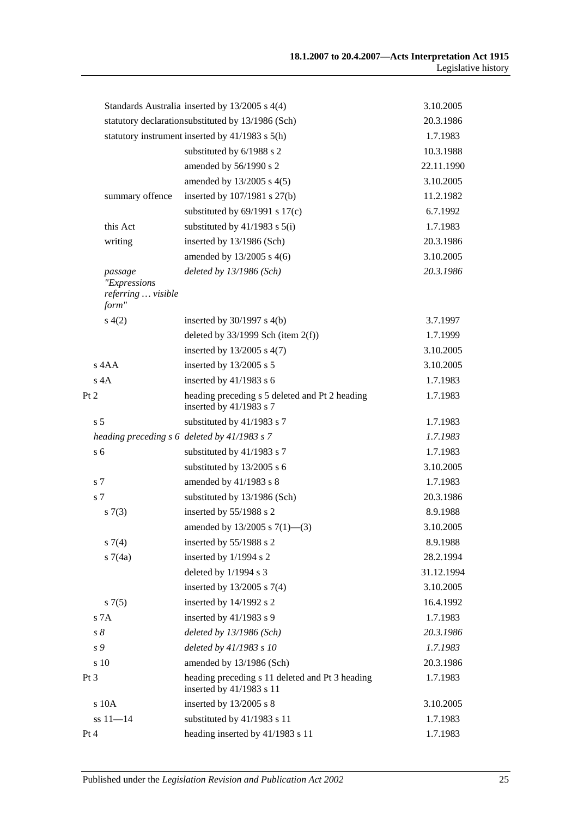|      |                                             | Standards Australia inserted by 13/2005 s 4(4)                              | 3.10.2005  |
|------|---------------------------------------------|-----------------------------------------------------------------------------|------------|
|      |                                             | statutory declarationsubstituted by 13/1986 (Sch)                           | 20.3.1986  |
|      |                                             | statutory instrument inserted by 41/1983 s 5(h)                             | 1.7.1983   |
|      |                                             | substituted by 6/1988 s 2                                                   | 10.3.1988  |
|      |                                             | amended by 56/1990 s 2                                                      | 22.11.1990 |
|      |                                             | amended by $13/2005$ s $4(5)$                                               | 3.10.2005  |
|      | summary offence                             | inserted by 107/1981 s 27(b)                                                | 11.2.1982  |
|      |                                             | substituted by $69/1991$ s $17(c)$                                          | 6.7.1992   |
|      | this Act                                    | substituted by $41/1983$ s $5(i)$                                           | 1.7.1983   |
|      | writing                                     | inserted by 13/1986 (Sch)                                                   | 20.3.1986  |
|      |                                             | amended by $13/2005$ s 4(6)                                                 | 3.10.2005  |
|      | passage                                     | deleted by $13/1986$ (Sch)                                                  | 20.3.1986  |
|      | "Expressions<br>referring  visible<br>form" |                                                                             |            |
|      | s(4(2)                                      | inserted by $30/1997$ s $4(b)$                                              | 3.7.1997   |
|      |                                             | deleted by $33/1999$ Sch (item $2(f)$ )                                     | 1.7.1999   |
|      |                                             | inserted by $13/2005$ s $4(7)$                                              | 3.10.2005  |
|      | s 4AA                                       | inserted by 13/2005 s 5                                                     | 3.10.2005  |
|      | $s$ 4A                                      | inserted by $41/1983$ s 6                                                   | 1.7.1983   |
| Pt 2 |                                             | heading preceding s 5 deleted and Pt 2 heading<br>inserted by 41/1983 s 7   | 1.7.1983   |
|      | s <sub>5</sub>                              | substituted by 41/1983 s 7                                                  | 1.7.1983   |
|      |                                             | heading preceding s 6 deleted by 41/1983 s 7                                | 1.7.1983   |
|      | s <sub>6</sub>                              | substituted by 41/1983 s 7                                                  | 1.7.1983   |
|      |                                             | substituted by 13/2005 s 6                                                  | 3.10.2005  |
|      | s 7                                         | amended by 41/1983 s 8                                                      | 1.7.1983   |
|      | s <sub>7</sub>                              | substituted by 13/1986 (Sch)                                                | 20.3.1986  |
|      | s(7(3)                                      | inserted by 55/1988 s 2                                                     | 8.9.1988   |
|      |                                             | amended by $13/2005$ s $7(1)$ —(3)                                          | 3.10.2005  |
|      | $s \, 7(4)$                                 | inserted by 55/1988 s 2                                                     | 8.9.1988   |
|      | s7(4a)                                      | inserted by 1/1994 s 2                                                      | 28.2.1994  |
|      |                                             | deleted by 1/1994 s 3                                                       | 31.12.1994 |
|      |                                             | inserted by $13/2005$ s $7(4)$                                              | 3.10.2005  |
|      | s7(5)                                       | inserted by 14/1992 s 2                                                     | 16.4.1992  |
|      | s 7A                                        | inserted by $41/1983$ s 9                                                   | 1.7.1983   |
|      | $s\,\delta$                                 | deleted by $13/1986$ (Sch)                                                  | 20.3.1986  |
|      | s 9                                         | deleted by 41/1983 s 10                                                     | 1.7.1983   |
|      | s 10                                        | amended by 13/1986 (Sch)                                                    | 20.3.1986  |
| Pt 3 |                                             | heading preceding s 11 deleted and Pt 3 heading<br>inserted by 41/1983 s 11 | 1.7.1983   |
|      | s 10A                                       | inserted by $13/2005$ s 8                                                   | 3.10.2005  |
|      | $ss 11 - 14$                                | substituted by 41/1983 s 11                                                 | 1.7.1983   |
| Pt 4 |                                             | heading inserted by 41/1983 s 11                                            | 1.7.1983   |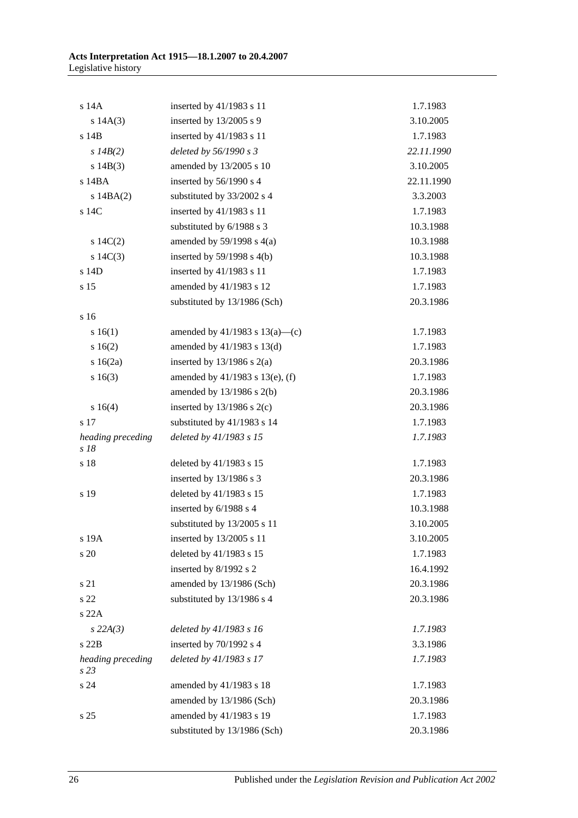| $s$ 14 $A$                | inserted by 41/1983 s 11             | 1.7.1983   |
|---------------------------|--------------------------------------|------------|
| s 14A(3)                  | inserted by $13/2005$ s 9            | 3.10.2005  |
| s 14B                     | inserted by 41/1983 s 11             | 1.7.1983   |
| $s$ 14B(2)                | deleted by 56/1990 s 3               | 22.11.1990 |
| s 14B(3)                  | amended by 13/2005 s 10              | 3.10.2005  |
| $s$ 14BA                  | inserted by 56/1990 s 4              | 22.11.1990 |
| $s$ 14BA $(2)$            | substituted by 33/2002 s 4           | 3.3.2003   |
| s 14C                     | inserted by 41/1983 s 11             | 1.7.1983   |
|                           | substituted by 6/1988 s 3            | 10.3.1988  |
| s $14C(2)$                | amended by $59/1998$ s $4(a)$        | 10.3.1988  |
| s $14C(3)$                | inserted by $59/1998$ s $4(b)$       | 10.3.1988  |
| s 14D                     | inserted by 41/1983 s 11             | 1.7.1983   |
| s 15                      | amended by 41/1983 s 12              | 1.7.1983   |
|                           | substituted by 13/1986 (Sch)         | 20.3.1986  |
| s 16                      |                                      |            |
| s 16(1)                   | amended by $41/1983$ s $13(a)$ —(c)  | 1.7.1983   |
| s16(2)                    | amended by $41/1983$ s $13(d)$       | 1.7.1983   |
| $s \ 16(2a)$              | inserted by $13/1986$ s $2(a)$       | 20.3.1986  |
| s 16(3)                   | amended by $41/1983$ s $13(e)$ , (f) | 1.7.1983   |
|                           | amended by $13/1986$ s $2(b)$        | 20.3.1986  |
| s 16(4)                   | inserted by $13/1986$ s $2(c)$       | 20.3.1986  |
| s 17                      | substituted by 41/1983 s 14          | 1.7.1983   |
| heading preceding<br>s 18 | deleted by 41/1983 s 15              | 1.7.1983   |
| s 18                      | deleted by 41/1983 s 15              | 1.7.1983   |
|                           | inserted by 13/1986 s 3              | 20.3.1986  |
| s 19                      | deleted by 41/1983 s 15              | 1.7.1983   |
|                           | inserted by 6/1988 s 4               | 10.3.1988  |
|                           | substituted by 13/2005 s 11          | 3.10.2005  |
| s 19A                     | inserted by 13/2005 s 11             | 3.10.2005  |
| s 20                      | deleted by 41/1983 s 15              | 1.7.1983   |
|                           | inserted by 8/1992 s 2               | 16.4.1992  |
| s 21                      | amended by 13/1986 (Sch)             | 20.3.1986  |
| s 22                      | substituted by 13/1986 s 4           | 20.3.1986  |
| s 22A                     |                                      |            |
| $s\,22A(3)$               | deleted by 41/1983 s 16              | 1.7.1983   |
| s22B                      | inserted by 70/1992 s 4              | 3.3.1986   |
| heading preceding<br>s23  | deleted by 41/1983 s 17              | 1.7.1983   |
| s 24                      | amended by 41/1983 s 18              | 1.7.1983   |
|                           | amended by 13/1986 (Sch)             | 20.3.1986  |
| s <sub>25</sub>           | amended by 41/1983 s 19              | 1.7.1983   |
|                           | substituted by 13/1986 (Sch)         | 20.3.1986  |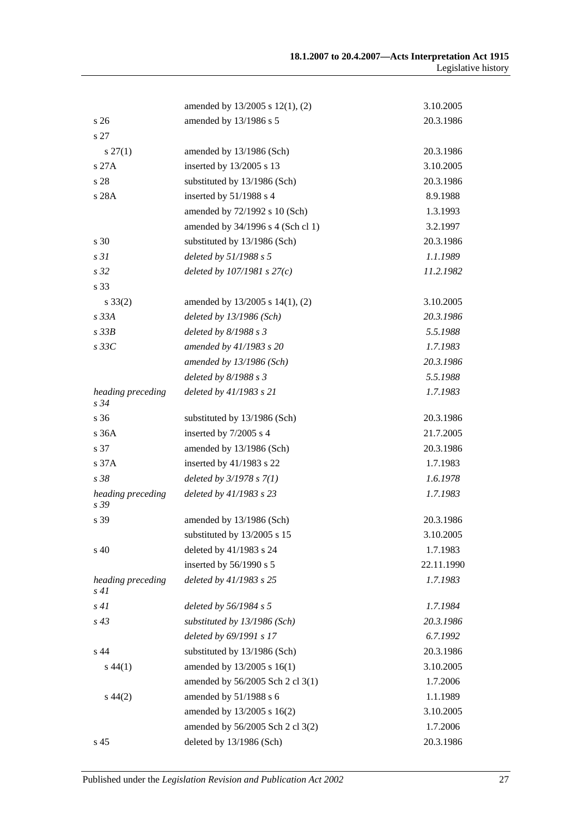|                           | amended by 13/2005 s 12(1), (2)   | 3.10.2005  |
|---------------------------|-----------------------------------|------------|
| s <sub>26</sub>           | amended by 13/1986 s 5            | 20.3.1986  |
| s 27                      |                                   |            |
| $s\,27(1)$                | amended by 13/1986 (Sch)          | 20.3.1986  |
| s 27A                     | inserted by 13/2005 s 13          | 3.10.2005  |
| s 28                      | substituted by 13/1986 (Sch)      | 20.3.1986  |
| s 28A                     | inserted by 51/1988 s 4           | 8.9.1988   |
|                           | amended by 72/1992 s 10 (Sch)     | 1.3.1993   |
|                           | amended by 34/1996 s 4 (Sch cl 1) | 3.2.1997   |
| s 30                      | substituted by 13/1986 (Sch)      | 20.3.1986  |
| s <sub>31</sub>           | deleted by 51/1988 s 5            | 1.1.1989   |
| s 32                      | deleted by $107/1981 s 27(c)$     | 11.2.1982  |
| s 33                      |                                   |            |
| $s \, 33(2)$              | amended by 13/2005 s 14(1), (2)   | 3.10.2005  |
| $s$ 33 $A$                | deleted by 13/1986 (Sch)          | 20.3.1986  |
| $s$ 33 $B$                | deleted by $8/1988 s 3$           | 5.5.1988   |
| $s\,33C$                  | amended by 41/1983 s 20           | 1.7.1983   |
|                           | amended by 13/1986 (Sch)          | 20.3.1986  |
|                           | deleted by $8/1988 s 3$           | 5.5.1988   |
| heading preceding<br>s 34 | deleted by 41/1983 s 21           | 1.7.1983   |
| s 36                      | substituted by 13/1986 (Sch)      | 20.3.1986  |
| s 36A                     | inserted by 7/2005 s 4            | 21.7.2005  |
| s 37                      | amended by 13/1986 (Sch)          | 20.3.1986  |
| s 37A                     | inserted by 41/1983 s 22          | 1.7.1983   |
| s 38                      | deleted by $3/1978 s 7(1)$        | 1.6.1978   |
| heading preceding<br>s 39 | deleted by 41/1983 s 23           | 1.7.1983   |
| s 39                      | amended by 13/1986 (Sch)          | 20.3.1986  |
|                           | substituted by 13/2005 s 15       | 3.10.2005  |
| s 40                      | deleted by 41/1983 s 24           | 1.7.1983   |
|                           | inserted by 56/1990 s 5           | 22.11.1990 |
| heading preceding<br>s41  | deleted by 41/1983 s 25           | 1.7.1983   |
| s41                       | deleted by 56/1984 s 5            | 1.7.1984   |
| $s\,43$                   | substituted by 13/1986 (Sch)      | 20.3.1986  |
|                           | deleted by 69/1991 s 17           | 6.7.1992   |
| s 44                      | substituted by 13/1986 (Sch)      | 20.3.1986  |
| $s\,44(1)$                | amended by 13/2005 s 16(1)        | 3.10.2005  |
|                           | amended by 56/2005 Sch 2 cl 3(1)  | 1.7.2006   |
| $s\,44(2)$                | amended by 51/1988 s 6            | 1.1.1989   |
|                           | amended by 13/2005 s 16(2)        | 3.10.2005  |
|                           | amended by 56/2005 Sch 2 cl 3(2)  | 1.7.2006   |
| s 45                      | deleted by 13/1986 (Sch)          | 20.3.1986  |